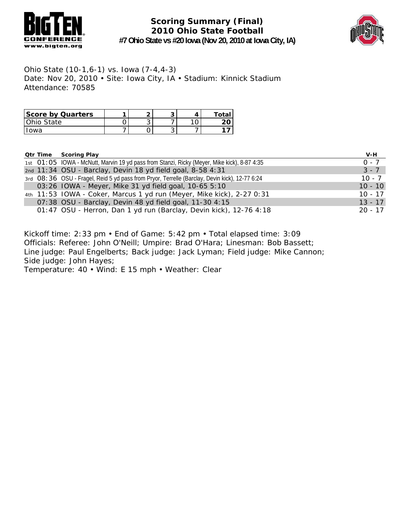



Ohio State (10-1,6-1) vs. Iowa (7-4,4-3) Date: Nov 20, 2010 • Site: Iowa City, IA • Stadium: Kinnick Stadium Attendance: 70585

| Score by Quarters |  | ີ | Total |
|-------------------|--|---|-------|
| I Ohio State      |  |   |       |
| $\bigcap M/2$     |  |   |       |

|  | <b>Qtr Time Scoring Play</b>                                                                   | V-H       |
|--|------------------------------------------------------------------------------------------------|-----------|
|  | 1st O1: 05 IOWA - McNutt, Marvin 19 yd pass from Stanzi, Ricky (Meyer, Mike kick), 8-87 4:35   | $0 - 7$   |
|  | 2nd 11:34 OSU - Barclay, Devin 18 yd field goal, 8-58 4:31                                     | $3 - 7$   |
|  | 3rd O8: 36 OSU - Fragel, Reid 5 yd pass from Pryor, Terrelle (Barclay, Devin kick), 12-77 6:24 | $10 - 7$  |
|  | 03:26 IOWA - Meyer, Mike 31 yd field goal, 10-65 5:10                                          | $10 - 10$ |
|  | 4th 11:53 IOWA - Coker, Marcus 1 yd run (Meyer, Mike kick), 2-27 0:31                          | $10 - 17$ |
|  | 07:38 OSU - Barclay, Devin 48 yd field goal, 11-30 4:15                                        | $13 - 17$ |
|  | 01:47 OSU - Herron, Dan 1 yd run (Barclay, Devin kick), 12-76 4:18                             | $20 - 17$ |

Kickoff time: 2:33 pm • End of Game: 5:42 pm • Total elapsed time: 3:09 Officials: Referee: John O'Neill; Umpire: Brad O'Hara; Linesman: Bob Bassett; Line judge: Paul Engelberts; Back judge: Jack Lyman; Field judge: Mike Cannon; Side judge: John Hayes; Temperature: 40 • Wind: E 15 mph • Weather: Clear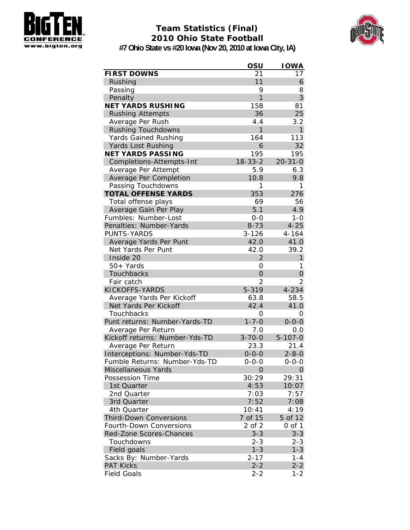

## **Team Statistics (Final) 2010 Ohio State Football**



**#7 Ohio State vs #20 Iowa (Nov 20, 2010 at Iowa City, IA)**

|                                | OSU            | <b>IOWA</b>    |
|--------------------------------|----------------|----------------|
| <b>FIRST DOWNS</b>             | 21             | 17             |
| Rushing                        | 11             | 6              |
| Passing                        | 9              | 8              |
| Penalty                        | 1              | 3              |
| <b>NET YARDS RUSHING</b>       | 158            | 81             |
| <b>Rushing Attempts</b>        | 36             | 25             |
| Average Per Rush               | 4.4            | 3.2            |
| <b>Rushing Touchdowns</b>      | 1              | $\mathbf{1}$   |
| <b>Yards Gained Rushing</b>    | 164            | 113            |
| <b>Yards Lost Rushing</b>      | 6              | 32             |
| <b>NET YARDS PASSING</b>       | 195            | 195            |
| Completions-Attempts-Int       | $18 - 33 - 2$  | $20 - 31 - 0$  |
| Average Per Attempt            | 5.9            | 6.3            |
| Average Per Completion         | 10.8           | 9.8            |
| Passing Touchdowns             | 1              | 1              |
| <b>TOTAL OFFENSE YARDS</b>     | 353            | 276            |
| Total offense plays            | 69             | 56             |
| Average Gain Per Play          | 5.1            | 4.9            |
| Fumbles: Number-Lost           | $0 - 0$        | $1 - 0$        |
| Penalties: Number-Yards        | $8 - 73$       | $4 - 25$       |
| PUNTS-YARDS                    | $3 - 126$      | $4 - 164$      |
| Average Yards Per Punt         | 42.0           | 41.0           |
| Net Yards Per Punt             | 42.0           | 39.2           |
| Inside 20                      | $\overline{2}$ | $\mathbf{1}$   |
| 50+ Yards                      | Ο              | 1              |
| Touchbacks                     | $\overline{O}$ | $\overline{O}$ |
| Fair catch                     | 2              | 2              |
| KICKOFFS-YARDS                 | 5-319          | 4-234          |
| Average Yards Per Kickoff      | 63.8           | 58.5           |
| Net Yards Per Kickoff          | 42.4           | 41.0           |
| Touchbacks                     | 0              | 0              |
| Punt returns: Number-Yards-TD  | $1 - 7 - 0$    | $0 - 0 - 0$    |
| Average Per Return             | 7.0            | 0.0            |
| Kickoff returns: Number-Yds-TD | $3 - 70 - 0$   | $5 - 107 - 0$  |
| Average Per Return             | 23.3           | 21.4           |
| Interceptions: Number-Yds-TD   | $0 - 0 - 0$    | $2 - 8 - 0$    |
| Fumble Returns: Number-Yds-TD  | $0 - 0 - 0$    | $0 - 0 - 0$    |
| Miscellaneous Yards            | 0              | 0              |
| Possession Time                | 30:29          | 29:31          |
| 1st Quarter                    | 4:53           | 10:07          |
| 2nd Quarter                    | 7:03           | 7:57           |
| 3rd Quarter                    | 7:52           | 7:08           |
| 4th Quarter                    | 10:41          | 4:19           |
| <b>Third-Down Conversions</b>  | 7 of 15        | 5 of 12        |
| Fourth-Down Conversions        | 2 of 2         | $0$ of $1$     |
| Red-Zone Scores-Chances        | $3 - 3$        | $3 - 3$        |
| Touchdowns                     | $2 - 3$        | $2 - 3$        |
| Field goals                    | $1 - 3$        | $1 - 3$        |
| Sacks By: Number-Yards         | $2 - 17$       | $1 - 4$        |
| <b>PAT Kicks</b>               | $2 - 2$        | $2 - 2$        |
| <b>Field Goals</b>             | $2 - 2$        | $1 - 2$        |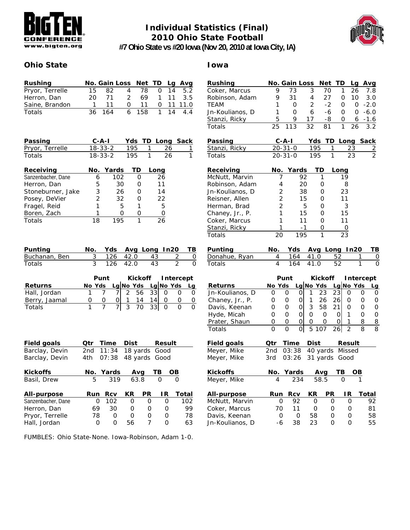

### **Individual Statistics (Final) 2010 Ohio State Football**



**#7 Ohio State vs #20 Iowa (Nov 20, 2010 at Iowa City, IA)**

### **Ohio State Iowa**

| Rushing         |      | No. Gain Loss Net TD Lg Avg |               |              |  |                |
|-----------------|------|-----------------------------|---------------|--------------|--|----------------|
| Pryor, Terrelle | 15   | -82                         |               | 4 78         |  | 0, 14, 5.2     |
| Herron, Dan     | 20 I | 71                          | $\mathcal{P}$ | 69.          |  | $1 \t11 \t3.5$ |
| Saine, Brandon  | 1.   | 11                          |               | $0 \quad 11$ |  | $0$ 11 11.0    |
| Totals          |      | 36 164                      |               | 6 158        |  | $1 \t14 \t4.4$ |

| Passing         | $C - A - I$ |     | Yds TD Long Sack |  |
|-----------------|-------------|-----|------------------|--|
| Pryor, Terrelle | 18-33-2     | 195 | - 26             |  |
| <b>Totals</b>   | 18-33-2     | 195 | 26               |  |

| Receiving          |    | No. Yards | -TD | Long |
|--------------------|----|-----------|-----|------|
| Sanzenbacher, Dane | 6  | 102       |     | 26   |
| Herron, Dan        | 5  | 30        |     | 11   |
| Stoneburner, Jake  | 3  | 26        |     | 14   |
| Posey, DeVier      | 2  | 32        |     | 22   |
| Fragel, Reid       | 1  | 5         |     | 5    |
| Boren, Zach        |    | O         |     |      |
| Totals             | 18 |           |     |      |

| Punting       |            |      | No. Yds Avg Long In20 TB |                  |
|---------------|------------|------|--------------------------|------------------|
| Buchanan, Ben |            |      | 3 126 42.0 43 2 0        |                  |
| <b>Totals</b> | 3 126 42.0 | - 43 |                          | $\left( \right)$ |

|                | Punt                          |  |   |         | Kickoff Intercept |  |  |
|----------------|-------------------------------|--|---|---------|-------------------|--|--|
| <b>Returns</b> | No Yds Lg No Yds Lg No Yds Lg |  |   |         |                   |  |  |
| Hall, Jordan   |                               |  | 2 | 56 33 4 | $\Omega$          |  |  |
| Berry, Jaamal  |                               |  |   | 14      |                   |  |  |
| Totals         |                               |  | 3 | 70      |                   |  |  |

| <b>Field goals</b> | Otr | Time      | <b>Dist</b> |     | <b>Result</b> |       |
|--------------------|-----|-----------|-------------|-----|---------------|-------|
| Barclay, Devin     | 2nd | 11:34     |             |     | 18 yards Good |       |
| Barclay, Devin     | 4th | 07:38     |             |     | 48 yards Good |       |
| <b>Kickoffs</b>    |     | No. Yards |             | Avq | ΤВ            | OВ    |
| Basil, Drew        | 5   | 319       | 63.8        |     | Ω             | O     |
| All-purpose        | Run | Rcv       | KR          | РR  | ΙR            | Total |
| Sanzenbacher, Dane | 0   | 102       | O           | O   | O             | 102   |
| Herron, Dan        | 69  | 30        | Ο           | 0   | Ο             | 99    |
| Pryor, Terrelle    | 78  | 0         | Ω           | 0   | 0             | 78    |
| Hall, Jordan       | 0   | O         | 56          | 7   | Ω             | 63    |

FUMBLES: Ohio State-None. Iowa-Robinson, Adam 1-0.

| <b>Rushing</b>                | No. Gain Loss  |                |            |      |                | Net TD          |                |             | Lg Avg           |
|-------------------------------|----------------|----------------|------------|------|----------------|-----------------|----------------|-------------|------------------|
| Coker, Marcus                 | 9              |                | 73         | 3    |                | 70              | 1              | 26          | 7.8              |
| Robinson, Adam                | 9              | 31             |            | 4    |                | 27              | 0              | 10          | 3.0              |
| <b>TEAM</b>                   | 1              |                | 0          | 2    |                | $-2$            | 0              | 0           | $-2.0$           |
| Jn-Koulianos, D               | 1              |                | 0          | 6    |                | -6              | 0              | 0           | $-6.0$           |
| Stanzi, Ricky                 | 5              |                | 9          | 17   |                | -8              | 0              | 6           | $-1.6$           |
| Totals                        | 25             | 113            |            | 32   | 81             |                 | 1              | 26          | 3.2              |
| Passing                       |                | C-A-I          |            |      | Yds            | TD Long         |                |             | <b>Sack</b>      |
| Stanzi, Ricky                 |                | $20 - 31 - 0$  |            |      | 195            | 1               | 23             |             | $\overline{z}$   |
| Totals                        |                | $20 - 31 - 0$  |            |      | 195            | 1               | 23             |             | $\overline{2}$   |
| Receiving                     |                | No. Yards      |            |      | TD             | Long            |                |             |                  |
| McNutt, Marvin                |                | 7              | 92         |      | 1              |                 | 19             |             |                  |
| Robinson, Adam                |                | 4              | 20         |      | 0              |                 | 8              |             |                  |
| Jn-Koulianos, D               |                | 2              | 38         |      | 0              |                 | 23             |             |                  |
| Reisner, Allen                |                | $\overline{2}$ | 15         |      | 0              |                 | 11             |             |                  |
| Herman, Brad                  |                | $\overline{2}$ |            | 5    | 0              |                 | 3              |             |                  |
| Chaney, Jr., P.               |                | 1              | 15         |      | 0              |                 | 15             |             |                  |
| Coker, Marcus                 |                | 1              | 11         |      | 0              |                 | 11             |             |                  |
| Stanzi, Ricky                 | 1              |                | -1         |      | 0              |                 |                |             |                  |
| Totals                        | 20             |                | 195        |      | 1              |                 | 23             |             |                  |
|                               |                |                |            |      |                |                 |                |             |                  |
|                               |                |                |            |      |                |                 |                |             |                  |
| Punting                       | No.            |                | <b>Yds</b> |      |                | Avg Long In20   |                |             | ΤВ               |
| Donahue, Ryan                 | 4              |                | 164        | 41.0 |                | 52              |                | 1           | 0                |
| Totals                        | $\overline{4}$ |                | 164        | 41.0 |                | 52              |                | 1           | O                |
|                               |                | Punt           |            |      | <b>Kickoff</b> |                 |                |             | <b>Intercept</b> |
| <b>Returns</b>                | No Yds         |                |            |      | Lg No Yds      |                 |                | $Lg$ No Yds | <u>Lg</u>        |
| Jn-Koulianos, D               | 0              | 0              | 0          | 1    | 23             | 231             | Ο              | 0           | 0                |
| Chaney, Jr., P.               | 0              | 0              | 이          | 1    | 26             | 26              | 0              | 0           | 0                |
| Davis, Keenan                 | 0              | 0              | Οl         | 3    | 58             | 21              | 0              | 0           | 0                |
| Hyde, Micah                   | 0              | 0              | O          | 0    | 0              | Οl              | 1              | 0           | 0                |
| Prater, Shaun                 | 0              | 0              | 0          | 0    | 0              | 0               | 1              | 8           | 8                |
| Totals                        | 0              | 0              | Οl         | 5    | 107            | 26              | $\overline{2}$ | 8           | 8                |
|                               |                |                |            |      |                |                 |                |             |                  |
| Field goals                   | Qtr            | Time           |            | Dist |                |                 | <b>Result</b>  |             |                  |
| Meyer, Mike                   | 2nd            | 03:38          |            |      |                | 40 yards Missed |                |             |                  |
| Meyer, Mike                   | 3rd            |                | 03:26      |      | 31 yards       |                 | Good           |             |                  |
| <b>Kickoffs</b>               | No.            |                | Yards      |      | Avg            |                 | ΤВ             |             |                  |
| Meyer, Mike                   | 4              |                | 234        |      | 58.5           |                 | $\Omega$       |             |                  |
|                               |                |                |            |      |                |                 |                |             |                  |
| All-purpose<br>McNutt, Marvin | Run            | 0              | Rcv<br>92  | КR   | 0              | РR<br>0         | IR.<br>0       |             | Total<br>92      |

Davis, Keenan 0 0 58 0 0 58 Jn-Koulianos, D -6 38 23 0 0 55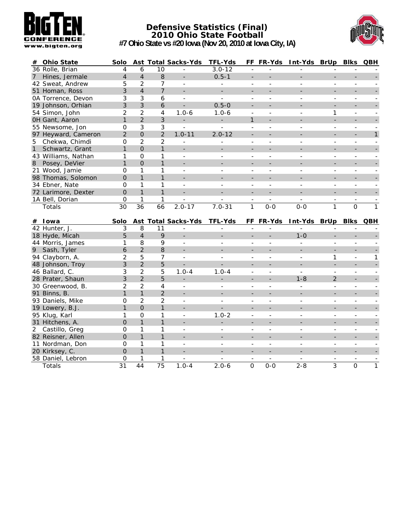

#### **Defensive Statistics (Final) 2010 Ohio State Football #7 Ohio State vs #20 Iowa (Nov 20, 2010 at Iowa City, IA)**



| #            | <b>Ohio State</b>                  | Solo                 |                    |                      | <b>Ast Total Sacks-Yds</b>  | <b>TFL-Yds</b>              |                                      | FF FR-Yds                | Int-Yds BrUp Blks         |                          |                            | QBH                            |
|--------------|------------------------------------|----------------------|--------------------|----------------------|-----------------------------|-----------------------------|--------------------------------------|--------------------------|---------------------------|--------------------------|----------------------------|--------------------------------|
|              | 36 Rolle, Brian                    | 4                    | 6                  | $\overline{10}$      |                             | $3.0 - 12$                  | $\blacksquare$                       |                          |                           |                          |                            |                                |
| $7^{\circ}$  | Hines, Jermale                     | $\overline{4}$       | $\overline{4}$     | 8                    |                             | $0.5 - 1$                   | $\qquad \qquad -$                    |                          |                           |                          |                            |                                |
|              | 42 Sweat, Andrew                   | 5                    | $\overline{2}$     | 7                    | $\overline{a}$              | $\blacksquare$              | $\overline{\phantom{a}}$             | $\blacksquare$           |                           | $\overline{a}$           | $\overline{\phantom{a}}$   |                                |
|              | 51 Homan, Ross                     | 3                    | $\overline{4}$     | $\overline{7}$       |                             | ÷,                          |                                      |                          |                           |                          |                            |                                |
|              | 0A Torrence, Devon                 | 3                    | 3                  | 6                    | $\blacksquare$              | $\overline{a}$              | ÷,                                   | $\overline{\phantom{a}}$ | $\overline{a}$            | $\overline{a}$           | $\blacksquare$             | $\blacksquare$                 |
|              | 19 Johnson, Orhian                 | 3                    | 3                  | 6                    |                             | $0.5 - 0$                   |                                      |                          |                           | $\blacksquare$           |                            |                                |
|              | 54 Simon, John                     | $\overline{2}$       | $\overline{2}$     | $\overline{4}$       | $1.0 - 6$                   | $1.0 - 6$                   | ÷,                                   | $\overline{\phantom{a}}$ | $\overline{\phantom{a}}$  | 1                        | $\overline{\phantom{0}}$   | $\blacksquare$                 |
|              | OH Gant, Aaron                     | $\mathbf{1}$         | $\overline{2}$     | $\mathfrak{Z}$       |                             | ÷,                          | $\mathbf{1}$                         |                          |                           | $\overline{a}$           |                            |                                |
|              | 55 Newsome, Jon                    | $\mathsf{O}\xspace$  | 3                  | $\mathfrak{Z}$       | $\overline{\phantom{a}}$    | $\overline{a}$              | $\overline{a}$                       | $\overline{a}$           |                           | $\overline{a}$           | $\blacksquare$             |                                |
|              | 97 Heyward, Cameron                | $\overline{2}$       | $\overline{0}$     | 2                    | $1.0 - 11$                  | $2.0 - 12$                  | ÷,                                   |                          |                           | $\overline{\phantom{a}}$ | ÷                          | $\mathbf{1}$                   |
| 5            | Chekwa, Chimdi                     | $\mathbf 0$          | $\overline{2}$     | $\overline{2}$       | $\sim$                      | $\blacksquare$              | $\overline{\phantom{a}}$             | $\sim$                   | ٠                         | $\overline{a}$           | $\blacksquare$             | $\mathbf{r}$                   |
| $\mathbf{1}$ | Schwartz, Grant                    | $\mathbf{1}$         | $\overline{0}$     | $\mathbf{1}$         | $\overline{\phantom{a}}$    | $\overline{\phantom{0}}$    | $\qquad \qquad -$                    |                          |                           | $\overline{\phantom{a}}$ |                            |                                |
|              | 43 Williams, Nathan                | 1                    | $\mathbf 0$        | 1                    | $\mathbf{r}$                | $\overline{a}$              | $\overline{a}$                       | $\overline{\phantom{a}}$ | $\overline{a}$            | $\overline{a}$           | $\blacksquare$             | $\mathbf{r}$                   |
| 8            | Posey, DeVier                      | $\mathbf{1}$         | $\overline{O}$     | 1                    |                             |                             |                                      |                          |                           |                          |                            |                                |
|              | 21 Wood, Jamie                     | $\mathbf 0$          | $\mathbf{1}$       | 1                    | $\sim$                      | $\overline{a}$              | $\overline{\phantom{a}}$             | $\sim$                   | $\overline{a}$            | $\overline{a}$           | $\mathbf{r}$               | $\mathbf{r}$                   |
|              | 98 Thomas, Solomon                 | $\mathbf 0$          | $\mathbf{1}$       | $\mathbf{1}$         |                             |                             | $\blacksquare$                       |                          |                           | $\blacksquare$           |                            |                                |
|              | 34 Ebner, Nate                     | $\mathbf 0$          | $\mathbf{1}$       | $\mathbf{1}$         | $\blacksquare$              | $\overline{a}$              | $\overline{a}$                       | $\sim$                   | $\overline{a}$            | $\overline{a}$           | $\blacksquare$             |                                |
|              | 72 Larimore, Dexter                | $\overline{O}$       | $\mathbf{1}$       | $\mathbf{1}$         | $\blacksquare$              | $\overline{\phantom{a}}$    | $\frac{1}{2}$                        |                          |                           | $\overline{\phantom{a}}$ |                            |                                |
|              | 1A Bell, Dorian                    | $\mathbf 0$          | $\mathbf{1}$       | 1                    |                             |                             |                                      | $\sim$                   |                           | $\overline{a}$           | $\overline{\phantom{a}}$   | $\overline{\phantom{a}}$       |
|              | Totals                             | 30                   | 36                 | 66                   | $2.0 - 17$                  | $7.0 - 31$                  | $\mathbf{1}$                         | $0 - 0$                  | $0 - 0$                   | 1                        | $\overline{O}$             | $\overline{1}$                 |
|              |                                    |                      |                    |                      |                             |                             |                                      |                          |                           |                          |                            |                                |
|              |                                    |                      |                    |                      |                             |                             |                                      |                          |                           |                          |                            |                                |
|              | # Iowa                             | Solo                 |                    |                      | Ast Total Sacks-Yds         | TFL-Yds                     |                                      | FF FR-Yds                | Int-Yds BrUp Blks QBH     |                          |                            |                                |
|              | 42 Hunter, J.                      | 3                    | 8                  | 11                   |                             | ÷,                          | $\overline{\phantom{a}}$             |                          |                           |                          |                            |                                |
|              | 18 Hyde, Micah                     | 5                    | $\overline{4}$     | 9                    |                             |                             |                                      |                          | $1 - 0$                   |                          |                            |                                |
|              | 44 Morris, James                   | 1                    | 8                  | 9                    | $\overline{a}$              | $\overline{a}$              | $\overline{a}$                       | $\sim$                   | $\overline{a}$            | $\overline{a}$           | $\overline{a}$             |                                |
| 9            | Sash, Tyler                        | 6                    | $\overline{2}$     | 8                    | $\overline{a}$              | $\equiv$                    | $\overline{\phantom{a}}$             |                          |                           | $\equiv$                 | ÷.                         |                                |
|              | 94 Clayborn, A.                    | $\overline{2}$       | 5                  | 7                    | $\overline{\phantom{a}}$    | $\overline{a}$              | $\overline{\phantom{a}}$             | $\sim$                   | ٠                         | 1                        | $\blacksquare$             | $\mathbf{1}$                   |
|              | 48 Johnson, Troy                   | 3                    | $\overline{2}$     | 5                    | $\equiv$                    | $\overline{\phantom{0}}$    | $\frac{1}{2}$                        |                          |                           | $\overline{a}$           |                            |                                |
|              | 46 Ballard, C.                     | 3                    | $\overline{2}$     | 5                    | $1.0 - 4$                   | $1.0 - 4$                   | ÷,                                   | $\overline{\phantom{a}}$ | $\overline{a}$            | $\overline{a}$           | $\overline{\phantom{a}}$   | $\blacksquare$                 |
|              | 28 Prater, Shaun                   | 3                    | $\overline{2}$     | 5                    | $\blacksquare$              | $\overline{\phantom{0}}$    | $\overline{\phantom{a}}$             |                          | $1 - 8$                   | $\overline{2}$           | $\blacksquare$             |                                |
|              | 30 Greenwood, B.                   | $\overline{2}$       | $\overline{2}$     | $\overline{4}$       | $\blacksquare$              | $\blacksquare$              | $\overline{\phantom{a}}$             | $\overline{\phantom{a}}$ | $\overline{a}$            | $\mathbf{r}$             | $\blacksquare$             | $\mathbf{r}$                   |
|              | 91 Binns, B.                       | $\mathbf{1}$         | $\mathbf{1}$       | $\overline{2}$       | $\overline{\phantom{a}}$    | ÷.                          | $\blacksquare$                       |                          |                           | ÷,                       |                            |                                |
|              | 93 Daniels, Mike                   | $\mathbf 0$          | $\overline{2}$     | $\overline{2}$       | $\blacksquare$              | $\overline{a}$              | ÷,                                   | $\overline{\phantom{a}}$ | $\overline{a}$            | $\overline{a}$           | $\blacksquare$             | $\mathbf{r}$                   |
|              | 19 Lowery, B.J.                    | $\mathbf{1}$         | $\overline{0}$     | $\mathbf{1}$         |                             |                             |                                      |                          |                           | $\overline{\phantom{0}}$ |                            |                                |
|              | 95 Klug, Karl                      | 1                    | $\mathbf 0$        | 1                    | $\sim$                      | $1.0 - 2$                   | ÷,                                   | $\sim$                   | ٠                         | $\overline{a}$           | $\blacksquare$             | $\blacksquare$                 |
|              | 31 Hitchens, A.                    | $\mathbf 0$          | $\mathbf{1}$       | $\mathbf{1}$         | $\overline{a}$              | ÷.                          | $\overline{\phantom{a}}$             |                          |                           | ÷,                       | $\blacksquare$             |                                |
| $2^{\circ}$  | Castillo, Greg                     | 0                    | $\mathbf{1}$       | 1                    | $\blacksquare$              | $\overline{a}$              | $\blacksquare$                       | $\overline{\phantom{a}}$ | $\overline{a}$            | $\overline{a}$           | $\blacksquare$             | $\sim$                         |
|              | 82 Reisner, Allen                  | $\Omega$             | $\mathbf{1}$       | $\mathbf{1}$         |                             |                             | $\blacksquare$                       |                          |                           | $\overline{a}$           | $\overline{\phantom{0}}$   |                                |
|              | 11 Nordman, Don                    | $\mathbf 0$          | $\mathbf{1}$       | 1                    | $\blacksquare$              | ÷                           | $\overline{\phantom{a}}$             | $\overline{\phantom{a}}$ | $\overline{\phantom{a}}$  | $\overline{a}$           | $\blacksquare$             | $\sim$                         |
|              | 20 Kirksey, C.                     | $\overline{O}$       | $\mathbf{1}$       | $\mathbf{1}$         | $\overline{\phantom{a}}$    | $\overline{\phantom{0}}$    |                                      |                          |                           | $\blacksquare$           | ÷                          |                                |
|              | 58 Daniel, Lebron<br><b>Totals</b> | 0<br>$\overline{31}$ | $\mathbf{1}$<br>44 | 1<br>$\overline{75}$ | $\blacksquare$<br>$1.0 - 4$ | $\overline{a}$<br>$2.0 - 6$ | $\overline{\phantom{a}}$<br>$\Omega$ | $\sim$<br>$0 - 0$        | $\overline{a}$<br>$2 - 8$ | $\overline{a}$<br>3      | $\blacksquare$<br>$\Omega$ | $\blacksquare$<br>$\mathbf{1}$ |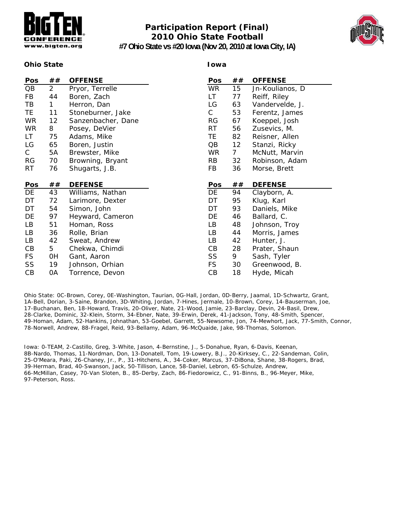

## **Participation Report (Final) 2010 Ohio State Football**

**Iowa**



**#7 Ohio State vs #20 Iowa (Nov 20, 2010 at Iowa City, IA)**

#### **Ohio State**

| <b>Pos</b> | ##             | <b>OFFENSE</b>     | Pos       | ##             | <b>OFFENSE</b>  |
|------------|----------------|--------------------|-----------|----------------|-----------------|
| QB         | $\overline{2}$ | Pryor, Terrelle    | <b>WR</b> | 15             | Jn-Koulianos, D |
| FB         | 44             | Boren, Zach        | LT        | 77             | Reiff, Riley    |
| TВ         | 1              | Herron, Dan        | LG        | 63             | Vandervelde, J. |
| ΤE         | 11             | Stoneburner, Jake  | С         | 53             | Ferentz, James  |
| <b>WR</b>  | 12             | Sanzenbacher, Dane | <b>RG</b> | 67             | Koeppel, Josh   |
| <b>WR</b>  | 8              | Posey, DeVier      | <b>RT</b> | 56             | Zusevics, M.    |
| LT         | 75             | Adams, Mike        | TE.       | 82             | Reisner, Allen  |
| LG         | 65             | Boren, Justin      | QB        | 12             | Stanzi, Ricky   |
| C          | 5A             | Brewster, Mike     | <b>WR</b> | 7 <sup>7</sup> | McNutt, Marvin  |
| <b>RG</b>  | 70             | Browning, Bryant   | <b>RB</b> | 32             | Robinson, Adam  |
| RT.        | 76             | Shugarts, J.B.     | FB        | 36             | Morse, Brett    |
|            |                |                    |           |                |                 |
| Pos        | ##             | <b>DEFENSE</b>     | Pos       | ##             | <b>DEFENSE</b>  |
| DE         | 43             | Williams, Nathan   | DE        | 94             | Clayborn, A.    |
| DT         | 72             | Larimore, Dexter   | DT        | 95             | Klug, Karl      |
| DT         | 54             | Simon, John        | DT        | 93             | Daniels, Mike   |
| DE         | 97             | Heyward, Cameron   | DE        | 46             | Ballard, C.     |
| LB         | 51             | Homan, Ross        | LB        | 48             | Johnson, Troy   |
| LB         | 36             | Rolle, Brian       | LB        | 44             | Morris, James   |
| LB         | 42             | Sweat, Andrew      | LB        | 42             | Hunter, J.      |
| CB         | 5              | Chekwa, Chimdi     | СB        | 28             | Prater, Shaun   |
| <b>FS</b>  | 0H             | Gant, Aaron        | SS        | 9              | Sash, Tyler     |
| SS         | 19             | Johnson, Orhian    | <b>FS</b> | 30             | Greenwood, B.   |
| CB         | 0A             | Torrence, Devon    | CB        | 18             | Hyde, Micah     |

Ohio State: 0C-Brown, Corey, 0E-Washington, Taurian, 0G-Hall, Jordan, 0D-Berry, Jaamal, 1D-Schwartz, Grant, 1A-Bell, Dorian, 3-Saine, Brandon, 3D-Whiting, Jordan, 7-Hines, Jermale, 10-Brown, Corey, 14-Bauserman, Joe, 17-Buchanan, Ben, 18-Howard, Travis, 20-Oliver, Nate, 21-Wood, Jamie, 23-Barclay, Devin, 24-Basil, Drew, 28-Clarke, Dominic, 32-Klein, Storm, 34-Ebner, Nate, 39-Erwin, Derek, 41-Jackson, Tony, 48-Smith, Spencer, 49-Homan, Adam, 52-Hankins, Johnathan, 53-Goebel, Garrett, 55-Newsome, Jon, 74-Mewhort, Jack, 77-Smith, Connor, 78-Norwell, Andrew, 88-Fragel, Reid, 93-Bellamy, Adam, 96-McQuaide, Jake, 98-Thomas, Solomon.

Iowa: 0-TEAM, 2-Castillo, Greg, 3-White, Jason, 4-Bernstine, J., 5-Donahue, Ryan, 6-Davis, Keenan, 8B-Nardo, Thomas, 11-Nordman, Don, 13-Donatell, Tom, 19-Lowery, B.J., 20-Kirksey, C., 22-Sandeman, Colin, 25-O'Meara, Paki, 26-Chaney, Jr., P., 31-Hitchens, A., 34-Coker, Marcus, 37-DiBona, Shane, 38-Rogers, Brad, 39-Herman, Brad, 40-Swanson, Jack, 50-Tillison, Lance, 58-Daniel, Lebron, 65-Schulze, Andrew, 66-McMillan, Casey, 70-Van Sloten, B., 85-Derby, Zach, 86-Fiedorowicz, C., 91-Binns, B., 96-Meyer, Mike, 97-Peterson, Ross.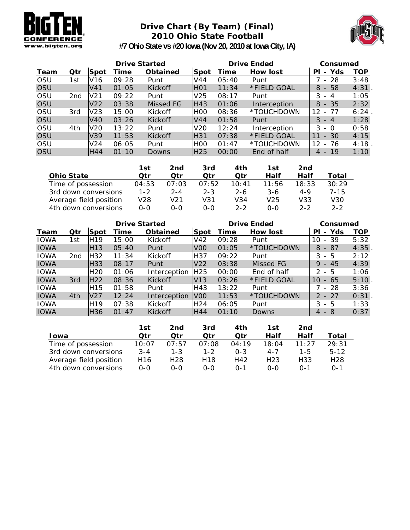

### **Drive Chart (By Team) (Final) 2010 Ohio State Football**



**#7 Ohio State vs #20 Iowa (Nov 20, 2010 at Iowa City, IA)**

|            |     |                 | <b>Drive Started</b> |                |                 | <b>Drive Ended</b> | Consumed     |             |          |
|------------|-----|-----------------|----------------------|----------------|-----------------|--------------------|--------------|-------------|----------|
| Team       | Qtr | Spot            | Time                 | Obtained       | Spot            | Time               | How lost     | - Yds<br>PL | TOP      |
| OSU        | 1st | V <sub>16</sub> | 09:28                | Punt           | V44             | 05:40              | Punt         | - 28        | 3:48     |
| OSU        |     | V <sub>41</sub> | 01:05                | <b>Kickoff</b> | <b>HO1</b>      | 11:34              | *FIELD GOAL  | $-58$<br>8  | $4:31$ . |
| <b>OSU</b> | 2nd | V <sub>21</sub> | 09:22                | Punt           | V <sub>25</sub> | 08:17              | Punt         | 3<br>$-4$   | 1:05     |
| <b>OSU</b> |     | V22             | 03:38                | Missed FG      | IH43            | 01:06              | Interception | - 35<br>8   | 2:32     |
| <b>OSU</b> | 3rd | V <sub>23</sub> | 15:00                | <b>Kickoff</b> | H <sub>00</sub> | 08:36              | *TOUCHDOWN   | 12<br>- 77  | 6:24     |
| OSU        |     | V40             | 03:26                | <b>Kickoff</b> | V <sub>44</sub> | 01:58              | Punt         | $3 - 4$     | 1:28     |
| <b>OSU</b> | 4th | V <sub>20</sub> | 13:22                | Punt           | V <sub>20</sub> | 12:24              | Interception | 3<br>- 0    | 0:58     |
| <b>OSU</b> |     | V39             | 11:53                | <b>Kickoff</b> | H31             | 07:38              | *FIELD GOAL  | $-30$<br>11 | 4:15     |
| <b>OSU</b> |     | V24             | 06:05                | Punt           | <b>HOO</b>      | 01:47              | *TOUCHDOWN   | 12<br>- 76  | 4:18     |
| <b>OSU</b> |     | H44             | 01:10                | Downs          | H <sub>25</sub> | 00:00              | End of half  | $-19$<br>4  | 1:10     |

|                        | 1st     | 2nd     | 3rd     | 4th     | 1st   | 2nd     |          |
|------------------------|---------|---------|---------|---------|-------|---------|----------|
| <b>Ohio State</b>      | Otr     | Otr     | Otr     | Otr     | Half  | Half    | Total    |
| Time of possession     | 04:53   | 07:03   | 07:52   | 10:41   | 11:56 | 18:33   | 30:29    |
| 3rd down conversions   | $1 - 2$ | $2 - 4$ | $2 - 3$ | $2 - 6$ | 3-6   | 4-9     | $7 - 15$ |
| Average field position | V28     | V21     | V31     | V34     | V25   | V33     | V30      |
| 4th down conversions   | 0-0     | 0-0     | 0-0     | $2 - 2$ | 0-0   | $2 - 2$ | $2 - 2$  |

|             |     |                 | <b>Drive Started</b> |                 |                 | <b>Drive Ended</b> | Consumed    |                                     |      |
|-------------|-----|-----------------|----------------------|-----------------|-----------------|--------------------|-------------|-------------------------------------|------|
| Team        | Qtr | Spot            | Time                 | <b>Obtained</b> | lSpot           | Time               | How lost    | Yds<br>ΡI<br>$\blacksquare$         | TOP  |
| <b>IOWA</b> | 1st | H <sub>19</sub> | 15:00                | Kickoff         | V <sub>42</sub> | 09:28              | Punt        | - 39<br>10                          | 5:32 |
| <b>IOWA</b> |     | H <sub>13</sub> | 05:40                | Punt            | V <sub>0</sub>  | 01:05              | *TOUCHDOWN  | 8<br>- 87                           | 4:35 |
| <b>IOWA</b> | 2nd | H <sub>32</sub> | 11:34                | Kickoff         | H37             | 09:22              | Punt        | 3<br>5<br>$\sim$                    | 2:12 |
| <b>IOWA</b> |     | lH33            | 08:17                | Punt            | V <sub>22</sub> | 03:38              | Missed FG   | 9<br>45<br>$\overline{\phantom{a}}$ | 4:39 |
| <b>IOWA</b> |     | H <sub>20</sub> | 01:06                | Interception    | H <sub>25</sub> | 00:00              | End of half | $\mathcal{P}$<br>.5<br>$\sim$       | 1:06 |
| <b>IOWA</b> | 3rd | <b>H22</b>      | 08:36                | <b>Kickoff</b>  | V13             | 03:26              | *FIELD GOAL | 10<br>65<br>$\sim$                  | 5:10 |
| <b>IOWA</b> |     | H <sub>15</sub> | 01:58                | Punt            | H43             | 13:22              | Punt        | - 28                                | 3:36 |
| <b>IOWA</b> | 4th | <b>V27</b>      | 12:24                | Interception    | <b>V00</b>      | 11:53              | *TOUCHDOWN  | $2 - 27$                            | 0:31 |
| <b>IOWA</b> |     | H <sub>19</sub> | 07:38                | Kickoff         | H <sub>24</sub> | 06:05              | Punt        | 3<br>- 5                            | 1:33 |
| <b>IOWA</b> |     | H <sub>36</sub> | 01:47                | <b>Kickoff</b>  | H44             | 01:10              | Downs       | 4<br>- 8                            | 0:37 |

|                        | 1st             | 2nd     | 3rd     | 4th     | 1st              | 2nd           |                 |
|------------------------|-----------------|---------|---------|---------|------------------|---------------|-----------------|
| l owa                  | Otr             | Otr     | Otr     | Otr     | Half             | Half          | Total           |
| Time of possession     | 10:07           | 07:57   | 07:08   | 04:19   | 18:04            | $11 \cdot 27$ | 29:31           |
| 3rd down conversions   | $3 - 4$         | $1 - 3$ | $1 - 2$ | $0 - 3$ | $4 - 7$          | $1 - 5$       | $5-12$          |
| Average field position | H <sub>16</sub> | H28     | H18     | H42     | H <sub>2</sub> 3 | H33           | H <sub>28</sub> |
| 4th down conversions   | 0-0             | 0-0     | $O-O$   | $0 - 1$ | 0-0              | በ-1           | $0 - 1$         |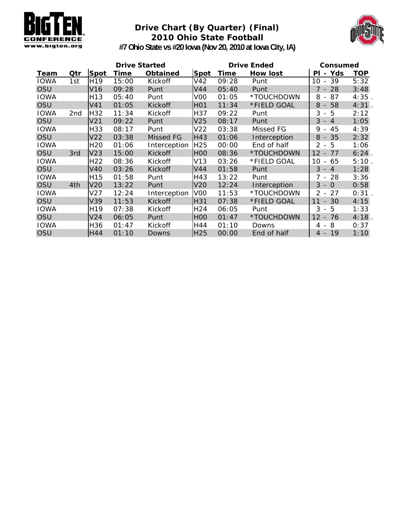

### **Drive Chart (By Quarter) (Final) 2010 Ohio State Football**



**#7 Ohio State vs #20 Iowa (Nov 20, 2010 at Iowa City, IA)**

| <b>Drive Started</b> |     |                 |       |                 |                  | <b>Drive Ended</b> | Consumed     |                                                     |            |
|----------------------|-----|-----------------|-------|-----------------|------------------|--------------------|--------------|-----------------------------------------------------|------------|
| Team                 | Qtr | <b>Spot</b>     | Time  | <b>Obtained</b> | <b>Spot</b>      | Time               | How lost     | - Yds<br>ΡI                                         | <b>TOP</b> |
| <b>IOWA</b>          | 1st | H <sub>19</sub> | 15:00 | Kickoff         | V42              | 09:28              | Punt         | 39<br>10<br>$\overline{\phantom{a}}$                | 5:32       |
| OSU                  |     | V16             | 09:28 | Punt            | V44              | 05:40              | Punt         | $7 - 28$                                            | 3:48       |
| <b>IOWA</b>          |     | H <sub>13</sub> | 05:40 | Punt            | V <sub>0</sub>   | 01:05              | *TOUCHDOWN   | 87<br>8<br>$\overline{\phantom{a}}$                 | 4:35       |
| OSU                  |     | V41             | 01:05 | Kickoff         | H <sub>0</sub> 1 | 11:34              | *FIELD GOAL  | 58<br>8<br>$\overline{\phantom{a}}$                 | 4:31.      |
| IOWA                 | 2nd | H <sub>32</sub> | 11:34 | Kickoff         | H37              | 09:22              | Punt         | $-5$<br>3                                           | 2:12       |
| OSU                  |     | V <sub>21</sub> | 09:22 | Punt            | V <sub>25</sub>  | 08:17              | Punt         | 3<br>$-4$                                           | 1:05       |
| <b>IOWA</b>          |     | H33             | 08:17 | Punt            | V <sub>22</sub>  | 03:38              | Missed FG    | 45<br>9<br>$\overline{\phantom{a}}$                 | 4:39       |
| OSU                  |     | V22             | 03:38 | Missed FG       | H43              | 01:06              | Interception | 35<br>8<br>$\overline{\phantom{a}}$                 | 2:32       |
| <b>IOWA</b>          |     | H <sub>20</sub> | 01:06 | Interception    | H <sub>25</sub>  | 00:00              | End of half  | $-5$<br>2                                           | 1:06       |
| OSU                  | 3rd | V <sub>23</sub> | 15:00 | <b>Kickoff</b>  | H <sub>0</sub>   | 08:36              | *TOUCHDOWN   | $12 - 77$                                           | $6:24$ .   |
| <b>IOWA</b>          |     | H <sub>22</sub> | 08:36 | Kickoff         | V13              | 03:26              | *FIELD GOAL  | 65<br>10<br>$\overline{\phantom{a}}$                | 5:10       |
| OSU                  |     | V40             | 03:26 | <b>Kickoff</b>  | V44              | 01:58              | Punt         | 3<br>$-4$                                           | 1:28       |
| <b>IOWA</b>          |     | H <sub>15</sub> | 01:58 | Punt            | H43              | 13:22              | Punt         | 7 - 28                                              | 3:36       |
| OSU                  | 4th | V <sub>20</sub> | 13:22 | Punt            | V <sub>20</sub>  | 12:24              | Interception | 3<br>$\overline{0}$<br>$\sim$                       | 0:58       |
| IOWA                 |     | V27             | 12:24 | Interception    | V <sub>0</sub>   | 11:53              | *TOUCHDOWN   | 27<br>$2 -$                                         | 0:31       |
| OSU                  |     | V39             | 11:53 | <b>Kickoff</b>  | H31              | 07:38              | *FIELD GOAL  | 11<br>$-30$                                         | 4:15       |
| <b>IOWA</b>          |     | H <sub>19</sub> | 07:38 | Kickoff         | H <sub>24</sub>  | 06:05              | Punt         | 5<br>3<br>$\overline{\phantom{a}}$                  | 1:33       |
| OSU                  |     | V24             | 06:05 | Punt            | <b>HOO</b>       | 01:47              | *TOUCHDOWN   | $12 \overline{ }$<br>76<br>$\overline{\phantom{a}}$ | $4:18$ .   |
| <b>IOWA</b>          |     | H36             | 01:47 | Kickoff         | H44              | 01:10              | Downs        | 8<br>4<br>$\overline{\phantom{a}}$                  | 0:37       |
| OSU                  |     | H44             | 01:10 | Downs           | H <sub>25</sub>  | 00:00              | End of half  | $4 - 19$                                            | 1:10       |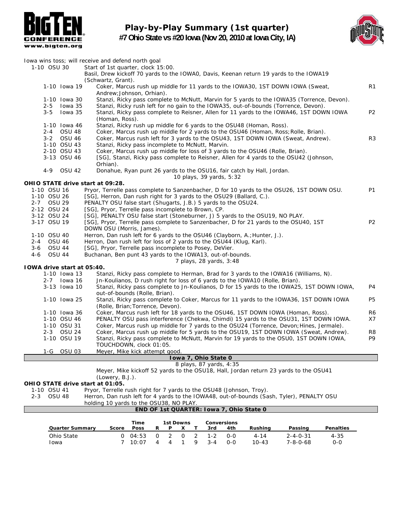

**Play-by-Play Summary (1st quarter) #7 Ohio State vs #20 Iowa (Nov 20, 2010 at Iowa City, IA)**



|         |               |                            | lowa wins toss; will receive and defend north goal                                                                                   |                |
|---------|---------------|----------------------------|--------------------------------------------------------------------------------------------------------------------------------------|----------------|
|         | 1-10 OSU 30   |                            | Start of 1st quarter, clock 15:00.                                                                                                   |                |
|         |               |                            | Basil, Drew kickoff 70 yards to the IOWAO, Davis, Keenan return 19 yards to the IOWA19                                               |                |
|         |               |                            | (Schwartz, Grant).                                                                                                                   |                |
|         |               | 1-10 Iowa 19               | Coker, Marcus rush up middle for 11 yards to the IOWA30, 1ST DOWN IOWA (Sweat,<br>Andrew; Johnson, Orhian).                          | R <sub>1</sub> |
|         |               | 1-10 Iowa 30               | Stanzi, Ricky pass complete to McNutt, Marvin for 5 yards to the IOWA35 (Torrence, Devon).                                           |                |
|         | 2-5           | lowa 35                    | Stanzi, Ricky rush left for no gain to the IOWA35, out-of-bounds (Torrence, Devon).                                                  |                |
|         | $3 - 5$       | lowa 35                    | Stanzi, Ricky pass complete to Reisner, Allen for 11 yards to the IOWA46, 1ST DOWN IOWA                                              | P <sub>2</sub> |
|         |               |                            | (Homan, Ross).                                                                                                                       |                |
|         |               | 1-10 Iowa 46               | Stanzi, Ricky rush up middle for 6 yards to the OSU48 (Homan, Ross).                                                                 |                |
|         |               | 2-4 OSU 48<br>3-2 OSU 46   | Coker, Marcus rush up middle for 2 yards to the OSU46 (Homan, Ross; Rolle, Brian).                                                   | R <sub>3</sub> |
|         |               | 1-10 OSU 43                | Coker, Marcus rush left for 3 yards to the OSU43, 1ST DOWN IOWA (Sweat, Andrew).<br>Stanzi, Ricky pass incomplete to McNutt, Marvin. |                |
|         |               | 2-10 OSU 43                | Coker, Marcus rush up middle for loss of 3 yards to the OSU46 (Rolle, Brian).                                                        |                |
|         |               | 3-13 OSU 46                | [SG], Stanzi, Ricky pass complete to Reisner, Allen for 4 yards to the OSU42 (Johnson,                                               |                |
|         |               |                            | Orhian).                                                                                                                             |                |
|         | $4 - 9$       | OSU 42                     | Donahue, Ryan punt 26 yards to the OSU16, fair catch by Hall, Jordan.                                                                |                |
|         |               |                            | 10 plays, 39 yards, 5:32                                                                                                             |                |
|         |               |                            | OHIO STATE drive start at 09:28.                                                                                                     |                |
|         | 1-10 OSU 16   |                            | Pryor, Terrelle pass complete to Sanzenbacher, D for 10 yards to the OSU26, 1ST DOWN OSU.                                            | P1             |
|         | 1-10 OSU 26   |                            | [SG], Herron, Dan rush right for 3 yards to the OSU29 (Ballard, C.).                                                                 |                |
|         | 2-7 OSU 29    |                            | PENALTY OSU false start (Shugarts, J.B.) 5 yards to the OSU24.                                                                       |                |
|         | 2-12 OSU 24   |                            | [SG], Pryor, Terrelle pass incomplete to Brown, CP.                                                                                  |                |
|         | 3-12 OSU 24   |                            | [SG], PENALTY OSU false start (Stoneburner, J) 5 yards to the OSU19, NO PLAY.                                                        |                |
|         | 3-17 OSU 19   |                            | [SG], Pryor, Terrelle pass complete to Sanzenbacher, D for 21 yards to the OSU40, 1ST                                                | <b>P2</b>      |
|         |               |                            | DOWN OSU (Morris, James).                                                                                                            |                |
|         | 1-10 OSU 40   |                            | Herron, Dan rush left for 6 yards to the OSU46 (Clayborn, A.; Hunter, J.).                                                           |                |
| $2 - 4$ | <b>OSU 46</b> |                            | Herron, Dan rush left for loss of 2 yards to the OSU44 (Klug, Karl).                                                                 |                |
| $3-6$   | <b>OSU 44</b> |                            | [SG], Pryor, Terrelle pass incomplete to Posey, DeVier.                                                                              |                |
| 4-6     | <b>OSU 44</b> |                            | Buchanan, Ben punt 43 yards to the IOWA13, out-of-bounds.                                                                            |                |
|         |               |                            | 7 plays, 28 yards, 3:48                                                                                                              |                |
|         |               | IOWA drive start at 05:40. |                                                                                                                                      |                |
|         |               | 1-10 Iowa 13               | Stanzi, Ricky pass complete to Herman, Brad for 3 yards to the IOWA16 (Williams, N).                                                 |                |
|         |               | 2-7 Iowa 16                | Jn-Koulianos, D rush right for loss of 6 yards to the IOWA10 (Rolle, Brian).                                                         |                |
|         |               | 3-13 Iowa 10               | Stanzi, Ricky pass complete to Jn-Koulianos, D for 15 yards to the IOWA25, 1ST DOWN IOWA,                                            | P4             |
|         |               | 1-10 Iowa 25               | out-of-bounds (Rolle, Brian).                                                                                                        | <b>P5</b>      |
|         |               |                            | Stanzi, Ricky pass complete to Coker, Marcus for 11 yards to the IOWA36, 1ST DOWN IOWA<br>(Rolle, Brian; Torrence, Devon).           |                |
|         |               | 1-10 Iowa 36               | Coker, Marcus rush left for 18 yards to the OSU46, 1ST DOWN IOWA (Homan, Ross).                                                      | R6             |
|         |               | 1-10 OSU 46                | PENALTY OSU pass interference (Chekwa, Chimdi) 15 yards to the OSU31, 1ST DOWN IOWA.                                                 | X7             |
|         |               | 1-10 OSU 31                | Coker, Marcus rush up middle for 7 yards to the OSU24 (Torrence, Devon; Hines, Jermale).                                             |                |
|         |               | 2-3 OSU 24                 | Coker, Marcus rush up middle for 5 yards to the OSU19, 1ST DOWN IOWA (Sweat, Andrew).                                                | R <sub>8</sub> |
|         |               | 1-10 OSU 19                | Stanzi, Ricky pass complete to McNutt, Marvin for 19 yards to the OSU0, 1ST DOWN IOWA,                                               | P9             |
|         |               |                            | TOUCHDOWN, clock 01:05.                                                                                                              |                |
|         | 1-G           | <b>OSU 03</b>              | Meyer, Mike kick attempt good.                                                                                                       |                |
|         |               |                            | Iowa 7, Ohio State 0                                                                                                                 |                |
|         |               |                            | 8 plays, 87 yards, 4:35                                                                                                              |                |
|         |               |                            | Meyer, Mike kickoff 52 yards to the OSU18, Hall, Jordan return 23 yards to the OSU41                                                 |                |
|         |               |                            | (Lowery, B.J.).                                                                                                                      |                |
|         |               |                            | OHIO STATE drive start at 01:05.                                                                                                     |                |
|         | 1-10 OSU 41   |                            | Pryor, Terrelle rush right for 7 yards to the OSU48 (Johnson, Troy).                                                                 |                |
|         | 2-3 OSU 48    |                            | Herron, Dan rush left for 4 yards to the IOWA48, out-of-bounds (Sash, Tyler), PENALTY OSU                                            |                |

| holding 10 yards to the OSU38, NO PLAY. |  |  |  |  |
|-----------------------------------------|--|--|--|--|

#### **END OF 1st QUARTER: Iowa 7, Ohio State 0**

|                        |       | Time  |   | 1st Downs |    |         | Conversions |           |                  |                  |
|------------------------|-------|-------|---|-----------|----|---------|-------------|-----------|------------------|------------------|
| <b>Quarter Summary</b> | Score | Poss  | R | Þ         |    | 3rd     | 4th         | Rushina   | Passing          | <b>Penalties</b> |
| Ohio State             | O.    | 04:53 |   |           | 2  | 1-2     | $O-O$       | 4-14      | $2 - 4 - 0 - 31$ | 4-35             |
| Iowa                   |       | 10:07 | Δ | 4         | Q. | $3 - 4$ | $O-O$       | $10 - 43$ | 7-8-0-68         | 0-0              |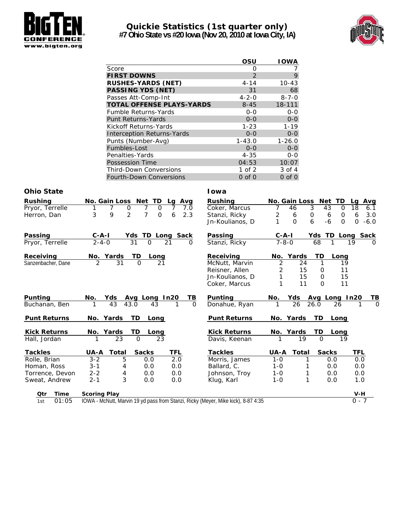

# **Quickie Statistics (1st quarter only)**

**#7 Ohio State vs #20 Iowa (Nov 20, 2010 at Iowa City, IA)**



|                                   | OSU         | <b>IOWA</b> |
|-----------------------------------|-------------|-------------|
| Score                             | O           |             |
| <b>FIRST DOWNS</b>                | 2           | 9           |
| <b>RUSHES-YARDS (NET)</b>         | $4 - 14$    | $10 - 43$   |
| <b>PASSING YDS (NET)</b>          | 31          | 68          |
| Passes Att-Comp-Int               | $4 - 2 - 0$ | $8 - 7 - 0$ |
| <b>TOTAL OFFENSE PLAYS-YARDS</b>  | $8 - 45$    | 18-111      |
| <b>Fumble Returns-Yards</b>       | $0 - 0$     | $0 - 0$     |
| <b>Punt Returns-Yards</b>         | $O - O$     | $0 - 0$     |
| Kickoff Returns-Yards             | $1 - 23$    | $1 - 19$    |
| <b>Interception Returns-Yards</b> | $0 - 0$     | $0 - 0$     |
| Punts (Number-Avg)                | $1 - 43.0$  | $1 - 26.0$  |
| Fumbles-Lost                      | $0 - 0$     | $0 - 0$     |
| Penalties-Yards                   | $4 - 35$    | $0 - 0$     |
| <b>Possession Time</b>            | 04:53       | 10:07       |
| <b>Third-Down Conversions</b>     | 1 of 2      | 3 of 4      |
| <b>Fourth-Down Conversions</b>    | $0$ of $0$  | $0$ of $0$  |

| Rushing             | No. Gain Loss Net TD<br>Lg Avg                                                    | Rushing             |             | No. Gain Loss | Net TD                 | Avg<br>La             |
|---------------------|-----------------------------------------------------------------------------------|---------------------|-------------|---------------|------------------------|-----------------------|
| Pryor, Terrelle     | 0<br>7<br>7.0<br>7<br>$\mathbf 0$<br>7                                            | Coker, Marcus       | 7           | 46            | 3<br>43<br>$\Omega$    | 18<br>6.1             |
| Herron, Dan         | $\overline{2}$<br>$\overline{7}$<br>3<br>9<br>2.3<br>$\mathbf 0$<br>6             | Stanzi, Ricky       | 2           | 6             | $\mathsf{O}$<br>0<br>6 | 3.0<br>6              |
|                     |                                                                                   | Jn-Koulianos, D     |             | $\Omega$      | 6<br>$-6$<br>$\Omega$  | $\mathbf 0$<br>$-6.0$ |
| Passing             | $C - A - I$<br>TD Long<br>Sack<br>Yds                                             | Passing             | $C - A - I$ |               | Yds                    | TD Long Sack          |
| Pryor, Terrelle     | $2 - 4 - 0$<br>31<br>$\Omega$<br>21<br>$\Omega$                                   | Stanzi, Ricky       | $7 - 8 - 0$ |               | 68                     | 19<br>$\Omega$        |
| Receiving           | No. Yards<br>TD<br>Long                                                           | Receiving           |             | No. Yards     | TD<br>Long             |                       |
| Sanzenbacher, Dane  | 2<br>31<br>$\Omega$<br>21                                                         | McNutt, Marvin      | 2           | 24            | 1<br>19                |                       |
|                     |                                                                                   | Reisner, Allen      | 2           | 15            | 11<br>0                |                       |
|                     |                                                                                   | Jn-Koulianos, D     | 1           | 15            | 15<br>$\mathbf 0$      |                       |
|                     |                                                                                   | Coker, Marcus       | 1           | 11            | 11<br>$\Omega$         |                       |
| Punting             | Yds<br>No.<br>In20<br>TВ<br>Avg Long                                              | Punting             | No.         | Yds           | Avg Long In20          | TВ                    |
| Buchanan, Ben       | 43<br>$\Omega$<br>43.0<br>43<br>1                                                 | Donahue, Ryan       | 1           | 26            | 26.0<br>26             | $\Omega$              |
| <b>Punt Returns</b> | No. Yards<br>TD<br>Long                                                           | <b>Punt Returns</b> |             | No. Yards     | <b>TD</b><br>Long      |                       |
| <b>Kick Returns</b> | No. Yards<br>TD<br>Long                                                           | <b>Kick Returns</b> |             | No. Yards     | TD<br>Long             |                       |
| Hall, Jordan        | 23<br>23<br>$\Omega$<br>1                                                         | Davis, Keenan       | 1           | 19            | $\Omega$<br>19         |                       |
| <b>Tackles</b>      | Total<br><b>Sacks</b><br><u>TFL</u><br><b>UA-A</b>                                | <b>Tackles</b>      | UA-A        | Total         | <b>Sacks</b>           | TFL                   |
| Rolle, Brian        | 5<br>2.0<br>$3 - 2$<br>0.0                                                        | Morris, James       | $1 - 0$     |               | 0.0                    | 0.0                   |
| Homan, Ross         | 0.0<br>0.0<br>$3 - 1$<br>4                                                        | Ballard, C.         | $1 - 0$     |               | 0.0                    | 0.0                   |
| Torrence, Devon     | $2 - 2$<br>4<br>0.0<br>0.0                                                        | Johnson, Troy       | $1 - 0$     | 1             | 0.0                    | 0.0                   |
| Sweat, Andrew       | 3<br>$2 - 1$<br>0.0<br>0.0                                                        | Klug, Karl          | $1 - 0$     | 1             | 0.0                    | 1.0                   |
| Otr<br>Time         | <b>Scoring Play</b>                                                               |                     |             |               |                        | $V-H$                 |
| 01:05<br>1st        | IOWA - McNutt, Marvin 19 yd pass from Stanzi, Ricky (Meyer, Mike kick), 8-87 4:35 |                     |             |               |                        | $0 - 7$               |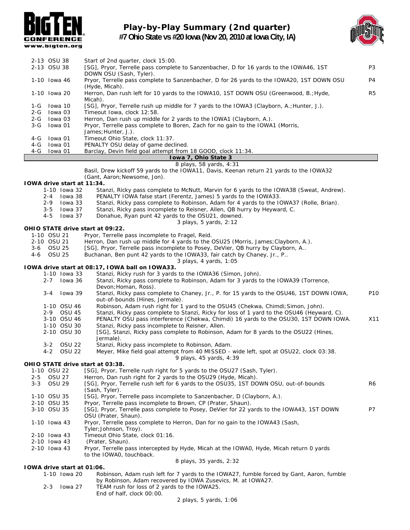

### **Play-by-Play Summary (2nd quarter) #7 Ohio State vs #20 Iowa (Nov 20, 2010 at Iowa City, IA)**



|         |                             | www.bigten.org             |                                                                                                                              |                 |
|---------|-----------------------------|----------------------------|------------------------------------------------------------------------------------------------------------------------------|-----------------|
|         | 2-13 OSU 38                 |                            |                                                                                                                              |                 |
|         | 2-13 OSU 38                 |                            | Start of 2nd quarter, clock 15:00.<br>[SG], Pryor, Terrelle pass complete to Sanzenbacher, D for 16 yards to the IOWA46, 1ST | P <sub>3</sub>  |
|         |                             |                            | DOWN OSU (Sash, Tyler).                                                                                                      | P4              |
|         | 1-10 Iowa 46                |                            | Pryor, Terrelle pass complete to Sanzenbacher, D for 26 yards to the IOWA20, 1ST DOWN OSU<br>(Hyde, Micah).                  |                 |
|         | 1-10 Iowa 20                |                            | Herron, Dan rush left for 10 yards to the IOWA10, 1ST DOWN OSU (Greenwood, B.; Hyde,<br>Micah).                              | R <sub>5</sub>  |
| 1-G     |                             | lowa 10                    | [SG], Pryor, Terrelle rush up middle for 7 yards to the IOWA3 (Clayborn, A.; Hunter, J.).                                    |                 |
| 2-G     |                             | lowa 03                    | Timeout Iowa, clock 12:58.                                                                                                   |                 |
| 2-G     |                             | lowa 03                    | Herron, Dan rush up middle for 2 yards to the IOWA1 (Clayborn, A.).                                                          |                 |
| $3-G$   |                             | lowa 01                    | Pryor, Terrelle pass complete to Boren, Zach for no gain to the IOWA1 (Morris,                                               |                 |
| 4-G     |                             | lowa 01                    | James; Hunter, J.).<br>Timeout Ohio State, clock 11:37.                                                                      |                 |
| $4-G$   |                             | lowa 01                    | PENALTY OSU delay of game declined.                                                                                          |                 |
| $4-G$   |                             | Iowa 01                    | Barclay, Devin field goal attempt from 18 GOOD, clock 11:34.                                                                 |                 |
|         |                             |                            | Iowa 7, Ohio State 3                                                                                                         |                 |
|         |                             |                            | 8 plays, 58 yards, 4:31                                                                                                      |                 |
|         |                             |                            | Basil, Drew kickoff 59 yards to the IOWA11, Davis, Keenan return 21 yards to the IOWA32                                      |                 |
|         |                             |                            | (Gant, Aaron; Newsome, Jon).                                                                                                 |                 |
|         |                             | IOWA drive start at 11:34. |                                                                                                                              |                 |
|         |                             | 1-10 Iowa 32               | Stanzi, Ricky pass complete to McNutt, Marvin for 6 yards to the IOWA38 (Sweat, Andrew).                                     |                 |
|         | $2 - 4$                     | lowa 38                    | PENALTY IOWA false start (Ferentz, James) 5 yards to the IOWA33.                                                             |                 |
|         | $2 - 9$                     | lowa 33                    | Stanzi, Ricky pass complete to Robinson, Adam for 4 yards to the IOWA37 (Rolle, Brian).                                      |                 |
|         | $3 - 5$                     | lowa 37                    | Stanzi, Ricky pass incomplete to Reisner, Allen, QB hurry by Heyward, C.                                                     |                 |
|         | $4 - 5$                     | lowa 37                    | Donahue, Ryan punt 42 yards to the OSU21, downed.                                                                            |                 |
|         |                             |                            | 3 plays, 5 yards, 2:12                                                                                                       |                 |
|         |                             |                            | OHIO STATE drive start at 09:22.                                                                                             |                 |
|         | 1-10 OSU 21                 |                            | Pryor, Terrelle pass incomplete to Fragel, Reid.                                                                             |                 |
|         | 2-10 OSU 21                 |                            | Herron, Dan rush up middle for 4 yards to the OSU25 (Morris, James; Clayborn, A.).                                           |                 |
| $4 - 6$ | 3-6 OSU 25<br><b>OSU 25</b> |                            | [SG], Pryor, Terrelle pass incomplete to Posey, DeVier, QB hurry by Clayborn, A                                              |                 |
|         |                             |                            | Buchanan, Ben punt 42 yards to the IOWA33, fair catch by Chaney, Jr., P<br>3 plays, 4 yards, 1:05                            |                 |
|         |                             |                            | IOWA drive start at 08:17, IOWA ball on IOWA33.                                                                              |                 |
|         |                             | 1-10 Iowa 33               | Stanzi, Ricky rush for 3 yards to the IOWA36 (Simon, John).                                                                  |                 |
|         | $2 - 7$                     | lowa 36                    | Stanzi, Ricky pass complete to Robinson, Adam for 3 yards to the IOWA39 (Torrence,                                           |                 |
|         |                             |                            | Devon; Homan, Ross).                                                                                                         |                 |
|         | $3 - 4$                     | lowa 39                    | Stanzi, Ricky pass complete to Chaney, Jr., P. for 15 yards to the OSU46, 1ST DOWN IOWA,<br>out-of-bounds (Hines, Jermale).  | P <sub>10</sub> |
|         |                             | 1-10 OSU 46                | Robinson, Adam rush right for 1 yard to the OSU45 (Chekwa, Chimdi; Simon, John).                                             |                 |
|         | $2 - 9$                     | <b>OSU 45</b>              | Stanzi, Ricky pass complete to Stanzi, Ricky for loss of 1 yard to the OSU46 (Heyward, C).                                   |                 |
|         |                             | 3-10 OSU 46                | PENALTY OSU pass interference (Chekwa, Chimdi) 16 yards to the OSU30, 1ST DOWN IOWA.                                         | X11             |
|         |                             | 1-10 OSU 30                | Stanzi, Ricky pass incomplete to Reisner, Allen.                                                                             |                 |
|         |                             | 2-10 OSU 30                | [SG], Stanzi, Ricky pass complete to Robinson, Adam for 8 yards to the OSU22 (Hines,<br>Jermale).                            |                 |
|         | $3 - 2$                     | <b>OSU 22</b>              | Stanzi, Ricky pass incomplete to Robinson, Adam.                                                                             |                 |
|         | $4 - 2$                     | <b>OSU 22</b>              | Meyer, Mike field goal attempt from 40 MISSED - wide left, spot at OSU22, clock 03:38.                                       |                 |

*9 plays, 45 yards, 4:39*

#### **OHIO STATE drive start at 03:38.**

|         | 1-10 OSU 22                       | [SG], Pryor, Terrelle rush right for 5 yards to the OSU27 (Sash, Tyler).                  |    |
|---------|-----------------------------------|-------------------------------------------------------------------------------------------|----|
| $2 - 5$ | OSU 27                            | Herron, Dan rush right for 2 yards to the OSU29 (Hyde, Micah).                            |    |
| $3 - 3$ | OSU 29                            | [SG], Pryor, Terrelle rush left for 6 yards to the OSU35, 1ST DOWN OSU, out-of-bounds     | R6 |
|         |                                   | (Sash, Tyler).                                                                            |    |
|         | 1-10 OSU 35                       | [SG], Pryor, Terrelle pass incomplete to Sanzenbacher, D (Clayborn, A.).                  |    |
|         | 2-10 OSU 35                       | Pryor, Terrelle pass incomplete to Brown, CP (Prater, Shaun).                             |    |
|         | 3-10 OSU 35                       | [SG], Pryor, Terrelle pass complete to Posey, DeVier for 22 yards to the IOWA43, 1ST DOWN | P7 |
|         |                                   | OSU (Prater, Shaun).                                                                      |    |
|         | 1-10 Iowa 43                      | Pryor, Terrelle pass complete to Herron, Dan for no gain to the IOWA43 (Sash,             |    |
|         |                                   | Tyler; Johnson, Troy).                                                                    |    |
|         | 2-10 Iowa 43                      | Timeout Ohio State, clock 01:16.                                                          |    |
|         | 2-10 Iowa 43                      | (Prater, Shaun).                                                                          |    |
|         | 2-10 Iowa 43                      | Pryor, Terrelle pass intercepted by Hyde, Micah at the IOWAO, Hyde, Micah return 0 yards  |    |
|         |                                   | to the IOWAO, touchback.                                                                  |    |
|         |                                   | 8 plays, 35 yards, 2:32                                                                   |    |
|         | <b>IOWA drive start at 01:06.</b> |                                                                                           |    |
|         |                                   |                                                                                           |    |

#### 1-10 Iowa 20 Robinson, Adam rush left for 7 yards to the IOWA27, fumble forced by Gant, Aaron, fumble by Robinson, Adam recovered by IOWA Zusevics, M. at IOWA27.

2-3 Iowa 27 TEAM rush for loss of 2 yards to the IOWA25. End of half, clock 00:00.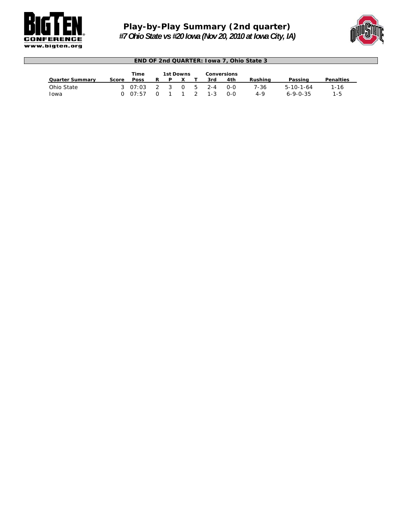

Г

### *Play-by-Play Summary (2nd quarter) #7 Ohio State vs #20 Iowa (Nov 20, 2010 at Iowa City, IA)*



| <b>END OF 2nd QUARTER: Iowa 7, Ohio State 3</b> |                                         |                            |                          |   |     |  |                    |                   |                 |                                       |                 |  |  |  |
|-------------------------------------------------|-----------------------------------------|----------------------------|--------------------------|---|-----|--|--------------------|-------------------|-----------------|---------------------------------------|-----------------|--|--|--|
|                                                 | Time<br>1st Downs<br><b>Conversions</b> |                            |                          |   |     |  |                    |                   |                 |                                       |                 |  |  |  |
| <b>Quarter Summary</b>                          | Score                                   | <b>Poss</b>                | R.                       | P |     |  | 3rd                | 4th               | Rushina         | Passing                               | Penalties       |  |  |  |
| Ohio State<br>Iowa                              |                                         | $3 \quad 07:03$<br>0.07:57 | $\overline{2}$<br>$\cap$ | 3 | 0 5 |  | $2 - 4$<br>$1 - 3$ | റ-റ<br><u>ດ-ດ</u> | 7-36<br>$4 - 9$ | $5 - 10 - 1 - 64$<br>$6 - 9 - 0 - 35$ | $1 - 16$<br>1-5 |  |  |  |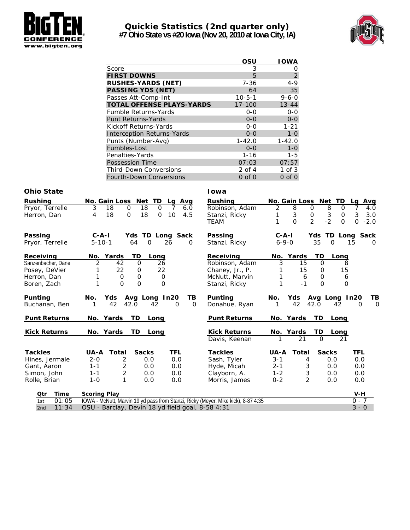

#### **Quickie Statistics (2nd quarter only) #7 Ohio State vs #20 Iowa (Nov 20, 2010 at Iowa City, IA)**



|                                   | OSU          | <b>IOWA</b> |
|-----------------------------------|--------------|-------------|
| Score                             | 3            | O           |
| <b>FIRST DOWNS</b>                | 5            | 2           |
| <b>RUSHES-YARDS (NET)</b>         | 7-36         | $4 - 9$     |
| <b>PASSING YDS (NET)</b>          | 64           | 35          |
| Passes Att-Comp-Int               | $10 - 5 - 1$ | $9 - 6 - 0$ |
| <b>TOTAL OFFENSE PLAYS-YARDS</b>  | $17 - 100$   | $13 - 44$   |
| <b>Fumble Returns-Yards</b>       | $0 - 0$      | $0 - 0$     |
| <b>Punt Returns-Yards</b>         | $0 - 0$      | $0 - 0$     |
| Kickoff Returns-Yards             | $0 - 0$      | $1 - 21$    |
| <b>Interception Returns-Yards</b> | $0 - 0$      | $1 - 0$     |
| Punts (Number-Avg)                | $1 - 42.0$   | $1 - 42.0$  |
| Fumbles-Lost                      | $0 - 0$      | $1 - 0$     |
| Penalties-Yards                   | $1 - 16$     | $1 - 5$     |
| Possession Time                   | 07:03        | 07:57       |
| <b>Third-Down Conversions</b>     | 2 of 4       | $1$ of $3$  |
| Fourth-Down Conversions           | $0$ of $0$   | $0$ of $0$  |

| <b>Rushing</b>      | No. Gain Loss Net TD<br>Lg Avg                                                    | Rushing             | No. Gain Loss Net TD                                       | Lg Avg               |
|---------------------|-----------------------------------------------------------------------------------|---------------------|------------------------------------------------------------|----------------------|
| Pryor, Terrelle     | 18<br>18<br>$\mathbf 0$<br>$\Omega$<br>7<br>3<br>6.0                              | Robinson, Adam      | 8<br>8<br>2<br>0<br>0                                      | 7<br>4.0             |
| Herron, Dan         | 18<br>$\mathbf{O}$<br>18<br>10<br>4.5<br>4<br>0                                   | Stanzi, Ricky       | 3<br>$\ensuremath{\mathsf{3}}$<br>$\mathsf{O}\xspace$<br>0 | 3<br>3.0             |
|                     |                                                                                   | TEAM                | $\overline{2}$<br>$-2$<br>$\Omega$<br>$\Omega$             | $\Omega$<br>$-2.0$   |
| Passing             | Yds TD Long Sack<br>$C - A - I$                                                   | Passing             | $C - A - I$<br>Yds TD Long Sack                            |                      |
| Pryor, Terrelle     | $5 - 10 - 1$<br>$\Omega$<br>26<br>64<br>0                                         | Stanzi, Ricky       | 35<br>$6 - 9 - 0$<br>$\Omega$                              | 15<br>$\Omega$       |
| <b>Receiving</b>    | TD<br>No. Yards<br>Long                                                           | Receiving           | TD<br>No. Yards<br>Long                                    |                      |
| Sanzenbacher, Dane  | 2<br>26<br>42<br>$\Omega$                                                         | Robinson, Adam      | 3<br>15<br>$\Omega$                                        | 8                    |
| Posey, DeVier       | 22<br>22<br>0                                                                     | Chaney, Jr., P.     | 15<br>15<br>$\mathbf 0$                                    |                      |
| Herron, Dan         | $\mathbf 0$<br>$\mathbf 0$<br>0                                                   | McNutt, Marvin      | 6<br>$\mathbf 0$                                           | 6                    |
| Boren, Zach         | $\Omega$<br>1<br>$\Omega$<br>$\Omega$                                             | Stanzi, Ricky       | 1<br>$-1$<br>$\Omega$                                      | $\Omega$             |
| Punting             | Avg Long In20<br>TВ<br>No.<br>Yds                                                 | Punting             | Yds<br>Avg Long In20<br>No.                                | ТВ                   |
| Buchanan, Ben       | 42<br>42.0<br>42<br>$\mathbf 0$<br>$\Omega$                                       | Donahue, Ryan       | 42<br>42.0<br>42                                           | $\Omega$<br>$\Omega$ |
| <b>Punt Returns</b> | No. Yards<br>TD.<br>Long                                                          | <b>Punt Returns</b> | No. Yards<br><b>TD</b><br>Long                             |                      |
| <b>Kick Returns</b> | No. Yards<br>TD Long                                                              | <b>Kick Returns</b> | No. Yards<br>TD.<br>Long                                   |                      |
|                     |                                                                                   | Davis, Keenan       | 21<br>$\Omega$<br>21                                       |                      |
| <b>Tackles</b>      | UA-A<br>Total<br><b>Sacks</b><br>TFL                                              | <b>Tackles</b>      | <b>UA-A</b><br><b>Sacks</b><br>Total                       | TFL                  |
| Hines, Jermale      | $\overline{2}$<br>$2 - 0$<br>0.0<br>0.0                                           | Sash, Tyler         | $3 - 1$<br>4<br>0.0                                        | 0.0                  |
| Gant, Aaron         | 2<br>0.0<br>$1 - 1$<br>0.0                                                        | Hyde, Micah         | 3<br>$2 - 1$<br>0.0                                        | 0.0                  |
| Simon, John         | $\overline{2}$<br>0.0<br>$1 - 1$<br>0.0                                           | Clayborn, A.        | 3<br>$1 - 2$<br>0.0                                        | 0.0                  |
| Rolle, Brian        | 1<br>$1 - 0$<br>0.0<br>0.0                                                        | Morris, James       | $\overline{2}$<br>$0 - 2$<br>0.0                           | 0.0                  |
| Time<br>Qtr         | <b>Scoring Play</b>                                                               |                     |                                                            | $V-H$                |
| 01:05<br>1st        | IOWA - McNutt, Marvin 19 yd pass from Stanzi, Ricky (Meyer, Mike kick), 8-87 4:35 |                     |                                                            | $0 - 7$              |
| 11:34<br>2nd        | OSU - Barclay, Devin 18 yd field goal, 8-58 4:31                                  |                     |                                                            | $3 - 0$              |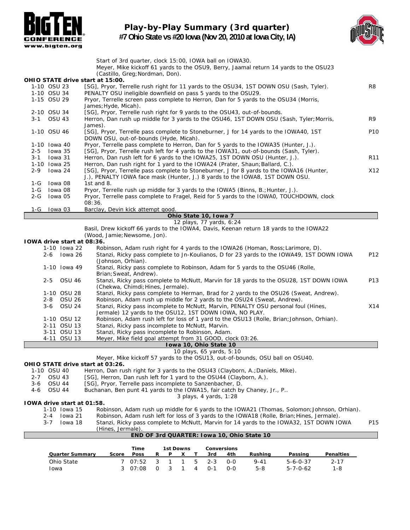

**Play-by-Play Summary (3rd quarter) #7 Ohio State vs #20 Iowa (Nov 20, 2010 at Iowa City, IA)**



|         |                              |                                   | Start of 3rd quarter, clock 15:00, IOWA ball on IOWA30.                                                                                                                      |                 |
|---------|------------------------------|-----------------------------------|------------------------------------------------------------------------------------------------------------------------------------------------------------------------------|-----------------|
|         |                              |                                   | Meyer, Mike kickoff 61 yards to the OSU9, Berry, Jaamal return 14 yards to the OSU23                                                                                         |                 |
|         |                              |                                   | (Castillo, Greg; Nordman, Don).                                                                                                                                              |                 |
|         |                              |                                   | OHIO STATE drive start at 15:00.                                                                                                                                             |                 |
|         | 1-10 OSU 23                  |                                   | [SG], Pryor, Terrelle rush right for 11 yards to the OSU34, 1ST DOWN OSU (Sash, Tyler).                                                                                      | R8              |
|         | 1-10 OSU 34                  |                                   | PENALTY OSU ineligible downfield on pass 5 yards to the OSU29.                                                                                                               |                 |
|         | 1-15 OSU 29                  |                                   | Pryor, Terrelle screen pass complete to Herron, Dan for 5 yards to the OSU34 (Morris,                                                                                        |                 |
|         | 2-10 OSU 34                  |                                   | James; Hyde, Micah).<br>[SG], Pryor, Terrelle rush right for 9 yards to the OSU43, out-of-bounds.                                                                            |                 |
| 3-1     | <b>OSU 43</b>                |                                   | Herron, Dan rush up middle for 3 yards to the OSU46, 1ST DOWN OSU (Sash, Tyler; Morris,                                                                                      | R9              |
|         |                              |                                   | James).                                                                                                                                                                      |                 |
|         | 1-10 OSU 46                  |                                   | [SG], Pryor, Terrelle pass complete to Stoneburner, J for 14 yards to the IOWA40, 1ST                                                                                        | P <sub>10</sub> |
|         |                              |                                   | DOWN OSU, out-of-bounds (Hyde, Micah).                                                                                                                                       |                 |
|         | 1-10 Iowa 40                 |                                   | Pryor, Terrelle pass complete to Herron, Dan for 5 yards to the IOWA35 (Hunter, J.).                                                                                         |                 |
| 2-5     | lowa 35                      |                                   | [SG], Pryor, Terrelle rush left for 4 yards to the IOWA31, out-of-bounds (Sash, Tyler).                                                                                      |                 |
| 3-1     | lowa 31                      |                                   | Herron, Dan rush left for 6 yards to the IOWA25, 1ST DOWN OSU (Hunter, J.).                                                                                                  | R <sub>11</sub> |
|         | 1-10 Iowa 25                 |                                   | Herron, Dan rush right for 1 yard to the IOWA24 (Prater, Shaun; Ballard, C.).                                                                                                |                 |
| $2 - 9$ |                              | Iowa 24                           | [SG], Pryor, Terrelle pass complete to Stoneburner, J for 8 yards to the IOWA16 (Hunter,                                                                                     | X12             |
|         |                              |                                   | J.), PENALTY IOWA face mask (Hunter, J.) 8 yards to the IOWA8, 1ST DOWN OSU.                                                                                                 |                 |
| 1-G     | lowa 08                      |                                   | 1st and $8.$                                                                                                                                                                 |                 |
| 2-G     | 1-G Iowa 08                  | lowa 05                           | Pryor, Terrelle rush up middle for 3 yards to the IOWA5 (Binns, B.; Hunter, J.).<br>Pryor, Terrelle pass complete to Fragel, Reid for 5 yards to the IOWA0, TOUCHDOWN, clock |                 |
|         |                              |                                   | 08:36.                                                                                                                                                                       |                 |
| 1-G     |                              | lowa 03                           | Barclay, Devin kick attempt good.                                                                                                                                            |                 |
|         |                              |                                   | Ohio State 10, Iowa 7                                                                                                                                                        |                 |
|         |                              |                                   | 12 plays, 77 yards, 6:24                                                                                                                                                     |                 |
|         |                              |                                   | Basil, Drew kickoff 66 yards to the IOWA4, Davis, Keenan return 18 yards to the IOWA22                                                                                       |                 |
|         |                              |                                   | (Wood, Jamie; Newsome, Jon).                                                                                                                                                 |                 |
|         |                              | <b>IOWA drive start at 08:36.</b> |                                                                                                                                                                              |                 |
|         |                              | 1-10 Iowa 22                      | Robinson, Adam rush right for 4 yards to the IOWA26 (Homan, Ross; Larimore, D).                                                                                              |                 |
|         |                              | 2-6 Iowa 26                       | Stanzi, Ricky pass complete to Jn-Koulianos, D for 23 yards to the IOWA49, 1ST DOWN IOWA                                                                                     | P12             |
|         |                              |                                   | (Johnson, Orhian).                                                                                                                                                           |                 |
|         |                              | 1-10 Iowa 49                      | Stanzi, Ricky pass complete to Robinson, Adam for 5 yards to the OSU46 (Rolle,                                                                                               |                 |
|         | $2 - 5$                      | <b>OSU 46</b>                     | Brian; Sweat, Andrew).                                                                                                                                                       | P13             |
|         |                              |                                   | Stanzi, Ricky pass complete to McNutt, Marvin for 18 yards to the OSU28, 1ST DOWN IOWA<br>(Chekwa, Chimdi; Hines, Jermale).                                                  |                 |
|         |                              | 1-10 OSU 28                       | Stanzi, Ricky pass complete to Herman, Brad for 2 yards to the OSU26 (Sweat, Andrew).                                                                                        |                 |
|         | 2-8                          | OSU 26                            | Robinson, Adam rush up middle for 2 yards to the OSU24 (Sweat, Andrew).                                                                                                      |                 |
|         | 3-6                          | <b>OSU 24</b>                     | Stanzi, Ricky pass incomplete to McNutt, Marvin, PENALTY OSU personal foul (Hines,                                                                                           | X14             |
|         |                              |                                   | Jermale) 12 yards to the OSU12, 1ST DOWN IOWA, NO PLAY.                                                                                                                      |                 |
|         |                              | 1-10 OSU 12                       | Robinson, Adam rush left for loss of 1 yard to the OSU13 (Rolle, Brian; Johnson, Orhian).                                                                                    |                 |
|         |                              | 2-11 OSU 13                       | Stanzi, Ricky pass incomplete to McNutt, Marvin.                                                                                                                             |                 |
|         |                              | 3-11 OSU 13                       | Stanzi, Ricky pass incomplete to Robinson, Adam.                                                                                                                             |                 |
|         |                              | 4-11 OSU 13                       | Meyer, Mike field goal attempt from 31 GOOD, clock 03:26.                                                                                                                    |                 |
|         |                              |                                   | Iowa 10, Ohio State 10                                                                                                                                                       |                 |
|         |                              |                                   | 10 plays, 65 yards, 5:10                                                                                                                                                     |                 |
|         |                              |                                   | Meyer, Mike kickoff 57 yards to the OSU13, out-of-bounds, OSU ball on OSU40.                                                                                                 |                 |
|         |                              |                                   | OHIO STATE drive start at 03:26.                                                                                                                                             |                 |
| 2-7     | 1-10 OSU 40<br><b>OSU 43</b> |                                   | Herron, Dan rush right for 3 yards to the OSU43 (Clayborn, A.; Daniels, Mike).<br>[SG], Herron, Dan rush left for 1 yard to the OSU44 (Clayborn, A.).                        |                 |
| 3-6     | <b>OSU 44</b>                |                                   | [SG], Pryor, Terrelle pass incomplete to Sanzenbacher, D.                                                                                                                    |                 |
| 4-6     | <b>OSU 44</b>                |                                   | Buchanan, Ben punt 41 yards to the IOWA15, fair catch by Chaney, Jr., P                                                                                                      |                 |
|         |                              |                                   | 3 plays, 4 yards, 1:28                                                                                                                                                       |                 |
|         |                              | 10WA drive start at 01:58.        |                                                                                                                                                                              |                 |
|         |                              | 1-10 Iowa 15                      | Robinson, Adam rush up middle for 6 yards to the IOWA21 (Thomas, Solomon; Johnson, Orhian).                                                                                  |                 |
|         | 2-4                          | Iowa 21                           | Robinson, Adam rush left for loss of 3 yards to the IOWA18 (Rolle, Brian; Hines, Jermale).                                                                                   |                 |

3-7 Iowa 18 Stanzi, Ricky pass complete to McNutt, Marvin for 14 yards to the IOWA32, 1ST DOWN IOWA P15 (Hines, Jermale).

|                        |       | <b>Time</b>   |                | 1st Downs |   | Conversions |       |         |                  |                  |
|------------------------|-------|---------------|----------------|-----------|---|-------------|-------|---------|------------------|------------------|
| <b>Quarter Summary</b> | Score | <b>Poss</b>   | R              | P         |   | 3rd         | 4th   | Rushina | Passing          | <b>Penalties</b> |
| Ohio State             |       | 7 07:52 3 1 1 |                |           |   | 5 2-3       | $O-O$ | 9-41    | $5 - 6 - 0 - 37$ | $2 - 17$         |
| Iowa                   |       | 3 07:08       | $\overline{O}$ | 3 1       | 4 | 0-1         | $O-O$ | $5-8$   | 5-7-0-62         | $1 - 8$          |

**END OF 3rd QUARTER: Iowa 10, Ohio State 10**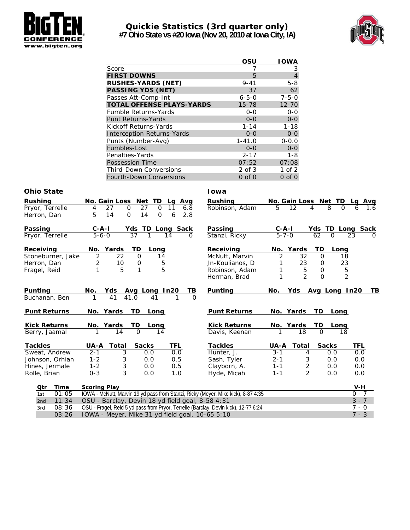

### **Quickie Statistics (3rd quarter only) #7 Ohio State vs #20 Iowa (Nov 20, 2010 at Iowa City, IA)**



|                                   | OSU         | <b>IOWA</b>    |
|-----------------------------------|-------------|----------------|
| Score                             |             | 3              |
| <b>FIRST DOWNS</b>                | 5           | $\overline{4}$ |
| <b>RUSHES-YARDS (NET)</b>         | $9 - 41$    | $5 - 8$        |
| <b>PASSING YDS (NET)</b>          | 37          | 62             |
| Passes Att-Comp-Int               | $6 - 5 - 0$ | $7 - 5 - 0$    |
| <b>TOTAL OFFENSE PLAYS-YARDS</b>  | $15 - 78$   | $12 - 70$      |
| <b>Fumble Returns-Yards</b>       | $0 - 0$     | $0 - 0$        |
| <b>Punt Returns-Yards</b>         | $0 - 0$     | $0 - 0$        |
| Kickoff Returns-Yards             | $1 - 14$    | $1 - 18$       |
| <b>Interception Returns-Yards</b> | $0 - 0$     | $0 - 0$        |
| Punts (Number-Avg)                | $1 - 41.0$  | $0 - 0.0$      |
| Fumbles-Lost                      | $0 - 0$     | $0 - 0$        |
| Penalties-Yards                   | $2 - 17$    | 1-8            |
| <b>Possession Time</b>            | 07:52       | 07:08          |
| <b>Third-Down Conversions</b>     | $2$ of $3$  | $1$ of $2$     |
| Fourth-Down Conversions           | $0$ of $0$  | $0$ of $0$     |

| <b>Rushing</b>                     | No. Gain Loss Net TD |                           |              |               | Avg<br>Lq                                        | <b>Rushing</b>                                                                      |             | No. Gain Loss Net TD |               |                | Avg<br>La        |
|------------------------------------|----------------------|---------------------------|--------------|---------------|--------------------------------------------------|-------------------------------------------------------------------------------------|-------------|----------------------|---------------|----------------|------------------|
| Pryor, Terrelle                    | 4                    | 27<br>0                   | 27           | $\Omega$      | 11<br>6.8                                        | Robinson, Adam                                                                      | 5           | 12                   | 8<br>4        | Ω              |                  |
| Herron, Dan                        | 5                    | 14<br>$\mathbf 0$         | 14           | $\mathbf 0$   | 6<br>2.8                                         |                                                                                     |             |                      |               |                |                  |
| Passing                            | $C - A - I$          |                           |              |               | Yds TD Long Sack                                 | Passing                                                                             | $C - A - I$ |                      |               |                | Yds TD Long Sack |
| Pryor, Terrelle                    | $5 - 6 - 0$          |                           | 37           |               | 14<br>O                                          | Stanzi, Ricky                                                                       | $5 - 7 - 0$ |                      | 62<br>O       |                | 23<br>n          |
| Receiving                          | No. Yards            |                           | <b>TD</b>    | Long          |                                                  | Receiving                                                                           |             | No. Yards            | <b>TD</b>     | Long           |                  |
| Stoneburner, Jake                  | $\overline{2}$       | 22                        | $\Omega$     | 14            |                                                  | McNutt, Marvin                                                                      | 2           | 32                   | $\mathbf 0$   | 18             |                  |
| Herron, Dan                        | 2                    | 10                        | 0            | 5             |                                                  | Jn-Koulianos, D                                                                     |             | 23                   | 0             | 23             |                  |
| Fragel, Reid                       |                      | 5                         | 1            | 5             |                                                  | Robinson, Adam                                                                      |             | 5                    | $\mathbf 0$   | $\overline{5}$ |                  |
|                                    |                      |                           |              |               |                                                  | Herman, Brad                                                                        | 1           | $\overline{2}$       | $\Omega$      | $\overline{2}$ |                  |
| Punting                            | No.                  | <u>Yds</u>                |              | Avg Long In20 | TВ                                               | Punting                                                                             | No.         | Yds                  | Avg Long In20 |                | TВ               |
| Buchanan, Ben                      |                      | 41                        | 41.0         | 41            | $\Omega$                                         |                                                                                     |             |                      |               |                |                  |
|                                    |                      |                           |              |               |                                                  |                                                                                     |             |                      |               |                |                  |
| <b>Punt Returns</b>                | No. Yards            |                           | TD           | Long          |                                                  | <b>Punt Returns</b>                                                                 |             | No. Yards            | TD            | Long           |                  |
| <b>Kick Returns</b>                | No. Yards            |                           | TD           | Long          |                                                  | <b>Kick Returns</b>                                                                 |             | No. Yards            | TD            | Long           |                  |
| Berry, Jaamal                      |                      | 14                        | $\Omega$     | 14            |                                                  | Davis, Keenan                                                                       |             | 18                   | $\Omega$      | 18             |                  |
| <b>Tackles</b>                     | <b>UA-A Total</b>    |                           | <b>Sacks</b> |               | TFL                                              | <b>Tackles</b>                                                                      | <b>UA-A</b> | <b>Total</b>         | <b>Sacks</b>  |                | <b>TFL</b>       |
| Sweat, Andrew                      | $2 - 1$              | 3                         |              | 0.0           | 0.0                                              | Hunter, J.                                                                          | $3 - 1$     | 4                    | 0.0           |                | 0.0              |
| Johnson, Orhian                    | $1 - 2$              | 3                         |              | 0.0           | 0.5                                              | Sash, Tyler                                                                         | $2 - 1$     | 3                    | 0.0           |                | 0.0              |
| Hines, Jermale                     | $1 - 2$              | $\ensuremath{\mathsf{3}}$ |              | 0.0           | 0.5                                              | Clayborn, A.                                                                        | $1 - 1$     |                      | 0.0           |                | 0.0              |
| Rolle, Brian                       | $0 - 3$              | 3                         |              | 0.0           | 1.0                                              | Hyde, Micah                                                                         | $1 - 1$     | 2<br>$\overline{2}$  | 0.0           |                | 0.0              |
|                                    |                      |                           |              |               |                                                  |                                                                                     |             |                      |               |                |                  |
| <b>Time</b><br>Qtr<br>01:05<br>1st | <b>Scoring Play</b>  |                           |              |               |                                                  |                                                                                     |             |                      |               |                | $V-H$<br>$0 - 7$ |
| 11:34<br>2nd                       |                      |                           |              |               |                                                  | IOWA - McNutt, Marvin 19 yd pass from Stanzi, Ricky (Meyer, Mike kick), 8-87 4:35   |             |                      |               |                | $3 - 7$          |
| 08:36<br>3rd                       |                      |                           |              |               | OSU - Barclay, Devin 18 yd field goal, 8-58 4:31 | OSU - Fragel, Reid 5 yd pass from Pryor, Terrelle (Barclay, Devin kick), 12-77 6:24 |             |                      |               |                | $7 - 0$          |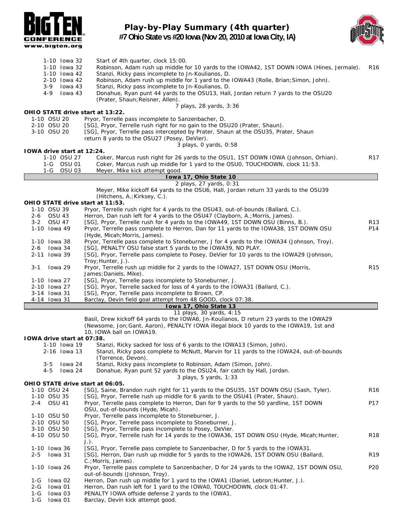

### **Play-by-Play Summary (4th quarter) #7 Ohio State vs #20 Iowa (Nov 20, 2010 at Iowa City, IA)**



|         |                              | 1-10 Iowa 32               | Start of 4th quarter, clock 15:00.                                                                                                   |                 |
|---------|------------------------------|----------------------------|--------------------------------------------------------------------------------------------------------------------------------------|-----------------|
|         |                              | 1-10 Iowa 32               | Robinson, Adam rush up middle for 10 yards to the IOWA42, 1ST DOWN IOWA (Hines, Jermale).                                            | R <sub>16</sub> |
|         |                              | 1-10 Iowa 42               | Stanzi, Ricky pass incomplete to Jn-Koulianos, D.                                                                                    |                 |
|         |                              | 2-10 Iowa 42               | Robinson, Adam rush up middle for 1 yard to the IOWA43 (Rolle, Brian; Simon, John).                                                  |                 |
|         | 3-9                          | lowa 43                    | Stanzi, Ricky pass incomplete to Jn-Koulianos, D.                                                                                    |                 |
|         | 4-9                          | lowa 43                    | Donahue, Ryan punt 44 yards to the OSU13, Hall, Jordan return 7 yards to the OSU20                                                   |                 |
|         |                              |                            | (Prater, Shaun; Reisner, Allen).                                                                                                     |                 |
|         |                              |                            | 7 plays, 28 yards, 3:36                                                                                                              |                 |
|         |                              |                            | OHIO STATE drive start at 13:22.                                                                                                     |                 |
|         | 1-10 OSU 20                  |                            | Pryor, Terrelle pass incomplete to Sanzenbacher, D.                                                                                  |                 |
|         | 2-10 OSU 20                  |                            | [SG], Pryor, Terrelle rush right for no gain to the OSU20 (Prater, Shaun).                                                           |                 |
|         | 3-10 OSU 20                  |                            | [SG], Pryor, Terrelle pass intercepted by Prater, Shaun at the OSU35, Prater, Shaun                                                  |                 |
|         |                              |                            | return 8 yards to the OSU27 (Posey, DeVier).<br>3 plays, 0 yards, 0:58                                                               |                 |
|         |                              | 10WA drive start at 12:24. |                                                                                                                                      |                 |
|         |                              | 1-10 OSU 27                | Coker, Marcus rush right for 26 yards to the OSU1, 1ST DOWN IOWA (Johnson, Orhian).                                                  | R <sub>17</sub> |
|         |                              |                            | Coker, Marcus rush up middle for 1 yard to the OSU0, TOUCHDOWN, clock 11:53.                                                         |                 |
|         | 1-G                          | <b>OSU 03</b>              | Meyer, Mike kick attempt good.                                                                                                       |                 |
|         |                              |                            | Iowa 17, Ohio State 10                                                                                                               |                 |
|         |                              |                            | 2 plays, 27 yards, 0:31                                                                                                              |                 |
|         |                              |                            | Meyer, Mike kickoff 64 yards to the OSU6, Hall, Jordan return 33 yards to the OSU39                                                  |                 |
|         |                              |                            | (Hitchens, A.; Kirksey, C.).                                                                                                         |                 |
|         |                              |                            | OHIO STATE drive start at 11:53.                                                                                                     |                 |
|         | 1-10 OSU 39                  |                            | Pryor, Terrelle rush right for 4 yards to the OSU43, out-of-bounds (Ballard, C.).                                                    |                 |
|         | 2-6 OSU 43                   |                            | Herron, Dan rush left for 4 yards to the OSU47 (Clayborn, A.; Morris, James).                                                        |                 |
|         | 3-2 OSU 47                   |                            | [SG], Pryor, Terrelle rush for 4 yards to the IOWA49, 1ST DOWN OSU (Binns, B.).                                                      | R <sub>13</sub> |
|         | 1-10 Iowa 49                 |                            | Pryor, Terrelle pass complete to Herron, Dan for 11 yards to the IOWA38, 1ST DOWN OSU                                                | P14             |
|         |                              |                            | (Hyde, Micah; Morris, James).                                                                                                        |                 |
|         | 1-10 Iowa 38                 |                            | Pryor, Terrelle pass complete to Stoneburner, J for 4 yards to the IOWA34 (Johnson, Troy).                                           |                 |
|         | $2-6$ lowa 34                |                            | [SG], PENALTY OSU false start 5 yards to the IOWA39, NO PLAY.                                                                        |                 |
|         | 2-11 Iowa 39                 |                            | [SG], Pryor, Terrelle pass complete to Posey, DeVier for 10 yards to the IOWA29 (Johnson,                                            |                 |
|         |                              |                            | Troy; Hunter, J.).                                                                                                                   |                 |
| $3 - 1$ | lowa 29                      |                            | Pryor, Terrelle rush up middle for 2 yards to the IOWA27, 1ST DOWN OSU (Morris,                                                      | R <sub>15</sub> |
|         |                              |                            | James; Daniels, Mike).                                                                                                               |                 |
|         | 1-10 Iowa 27                 |                            | [SG], Pryor, Terrelle pass incomplete to Stoneburner, J.                                                                             |                 |
|         | 2-10 Iowa 27<br>3-14 Iowa 31 |                            | [SG], Pryor, Terrelle sacked for loss of 4 yards to the IOWA31 (Ballard, C.).<br>[SG], Pryor, Terrelle pass incomplete to Brown, CP. |                 |
|         | 4-14 lowa 31                 |                            | Barclay, Devin field goal attempt from 48 GOOD, clock 07:38.                                                                         |                 |
|         |                              |                            | Iowa 17, Ohio State 13                                                                                                               |                 |
|         |                              |                            | 11 plays, 30 yards, 4:15                                                                                                             |                 |
|         |                              |                            | Basil, Drew kickoff 64 yards to the IOWA6, Jn-Koulianos, D return 23 yards to the IOWA29                                             |                 |
|         |                              |                            | (Newsome, Jon; Gant, Aaron), PENALTY IOWA illegal block 10 yards to the IOWA19, 1st and                                              |                 |
|         |                              |                            | 10, IOWA ball on IOWA19.                                                                                                             |                 |
|         |                              | 10WA drive start at 07:38. |                                                                                                                                      |                 |
|         |                              | 1-10 Iowa 19               | Stanzi, Ricky sacked for loss of 6 yards to the IOWA13 (Simon, John).                                                                |                 |
|         |                              | 2-16 Iowa 13               | Stanzi, Ricky pass complete to McNutt, Marvin for 11 yards to the IOWA24, out-of-bounds                                              |                 |
|         |                              |                            | (Torrence, Devon).                                                                                                                   |                 |
|         | $3 - 5$                      | lowa 24                    | Stanzi, Ricky pass incomplete to Robinson, Adam (Simon, John).                                                                       |                 |
|         | 4-5                          | lowa 24                    | Donahue, Ryan punt 52 yards to the OSU24, fair catch by Hall, Jordan.                                                                |                 |
|         |                              |                            | 3 plays, 5 yards, 1:33                                                                                                               |                 |
|         |                              |                            | OHIO STATE drive start at 06:05.                                                                                                     |                 |
|         | 1-10 OSU 24                  |                            | [SG], Saine, Brandon rush right for 11 yards to the OSU35, 1ST DOWN OSU (Sash, Tyler).                                               | R <sub>16</sub> |
|         | 1-10 OSU 35                  |                            | [SG], Pryor, Terrelle rush up middle for 6 yards to the OSU41 (Prater, Shaun).                                                       |                 |
| 2-4     | <b>OSU 41</b>                |                            | Pryor, Terrelle pass complete to Herron, Dan for 9 yards to the 50 yardline, 1ST DOWN                                                | P17             |
|         |                              |                            | OSU, out-of-bounds (Hyde, Micah).                                                                                                    |                 |
|         | 1-10 OSU 50                  |                            | Pryor, Terrelle pass incomplete to Stoneburner, J.                                                                                   |                 |
|         | 2-10 OSU 50                  |                            | [SG], Pryor, Terrelle pass incomplete to Stoneburner, J.                                                                             |                 |
|         | 3-10 OSU 50                  |                            | [SG], Pryor, Terrelle pass incomplete to Posey, DeVier.                                                                              |                 |
|         | 4-10 OSU 50                  |                            | [SG], Pryor, Terrelle rush for 14 yards to the IOWA36, 1ST DOWN OSU (Hyde, Micah; Hunter,                                            | <b>R18</b>      |
|         | 1-10 Iowa 36                 |                            | $J.$ ).<br>[SG], Pryor, Terrelle pass complete to Sanzenbacher, D for 5 yards to the IOWA31.                                         |                 |
| $2 - 5$ | lowa 31                      |                            | [SG], Herron, Dan rush up middle for 5 yards to the IOWA26, 1ST DOWN OSU (Ballard,                                                   | R <sub>19</sub> |
|         |                              |                            |                                                                                                                                      |                 |

1-10 Iowa 26 Pryor, Terrelle pass complete to Sanzenbacher, D for 24 yards to the IOWA2, 1ST DOWN OSU, P20

1-G Iowa 02 Herron, Dan rush up middle for 1 yard to the IOWA1 (Daniel, Lebron; Hunter, J.).<br>2-G Iowa 01 Herron, Dan rush left for 1 yard to the IOWA0, TOUCHDOWN, clock 01:47. 2-G Iowa 01 Herron, Dan rush left for 1 yard to the IOWA0, TOUCHDOWN, clock 01:47.<br>1-G Iowa 03 PENALTY IOWA offside defense 2 yards to the IOWA1. PENALTY IOWA offside defense 2 yards to the IOWA1.

C.;Morris, James).

1-G Iowa 01 Barclay, Devin kick attempt good.

out-of-bounds (Johnson, Troy).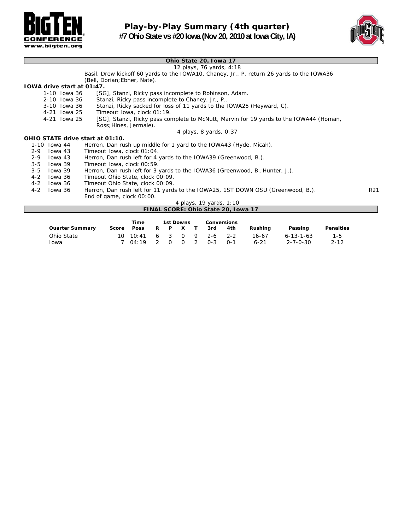



#### **Ohio State 20, Iowa 17**

*12 plays, 76 yards, 4:18*

Basil, Drew kickoff 60 yards to the IOWA10, Chaney, Jr., P. return 26 yards to the IOWA36 (Bell, Dorian;Ebner, Nate).

#### **IOWA drive start at 01:47.**

- 1-10 Iowa 36 [SG], Stanzi, Ricky pass incomplete to Robinson, Adam.<br>2-10 Iowa 36 Stanzi, Ricky pass incomplete to Chaney, Jr., P..
- 2-10 Iowa 36 Stanzi, Ricky pass incomplete to Chaney, Jr., P..<br>3-10 Iowa 36 Stanzi, Ricky sacked for loss of 11 yards to the I
- 3-10 Iowa 36 Stanzi, Ricky sacked for loss of 11 yards to the IOWA25 (Heyward, C).
- Timeout Iowa, clock 01:19.
- 4-21 Iowa 25 [SG], Stanzi, Ricky pass complete to McNutt, Marvin for 19 yards to the IOWA44 (Homan, Ross;Hines, Jermale).

#### *4 plays, 8 yards, 0:37*

|         |              | OHIO STATE drive start at 01:10.                                                |                 |
|---------|--------------|---------------------------------------------------------------------------------|-----------------|
|         | 1-10 Iowa 44 | Herron, Dan rush up middle for 1 yard to the IOWA43 (Hyde, Micah).              |                 |
| $2 - 9$ | lowa 43      | Timeout Iowa, clock 01:04.                                                      |                 |
| $2 - 9$ | Towa 43      | Herron, Dan rush left for 4 yards to the IOWA39 (Greenwood, B.).                |                 |
| $3 - 5$ | lowa 39      | Timeout Iowa, clock 00:59.                                                      |                 |
| $3 - 5$ | lowa 39      | Herron, Dan rush left for 3 yards to the IOWA36 (Greenwood, B.; Hunter, J.).    |                 |
| $4 - 2$ | lowa 36      | Timeout Ohio State, clock 00:09.                                                |                 |
| $4 - 2$ | lowa 36      | Timeout Ohio State, clock 00:09.                                                |                 |
| 4-2     | lowa 36      | Herron, Dan rush left for 11 yards to the IOWA25, 1ST DOWN OSU (Greenwood, B.). | R <sub>21</sub> |
|         |              | End of game, clock 00:00.                                                       |                 |
|         |              | 4 plays, 19 yards, 1:10                                                         |                 |

#### **FINAL SCORE: Ohio State 20, Iowa 17**

|                        |       | Time                     |   | 1st Downs |                     | <b>Conversions</b> |       |      |          |                   |                  |
|------------------------|-------|--------------------------|---|-----------|---------------------|--------------------|-------|------|----------|-------------------|------------------|
| <b>Quarter Summary</b> | Score | <b>Poss</b>              | R | P         | $\mathbf{x}$        |                    | 3rd   | 4th  | Rushina  | Passing           | <b>Penalties</b> |
| Ohio State             |       | 10 10:41 6 3 0 9 2-6 2-2 |   |           |                     |                    |       |      | 16-67    | $6 - 13 - 1 - 63$ | 1-5              |
| <b>l</b> owa           |       | 7 04:19 2                |   |           | $0 \quad 0 \quad 2$ |                    | $O-3$ | ົດ-1 | $6 - 21$ | 2-7-0-30          | $2 - 12$         |